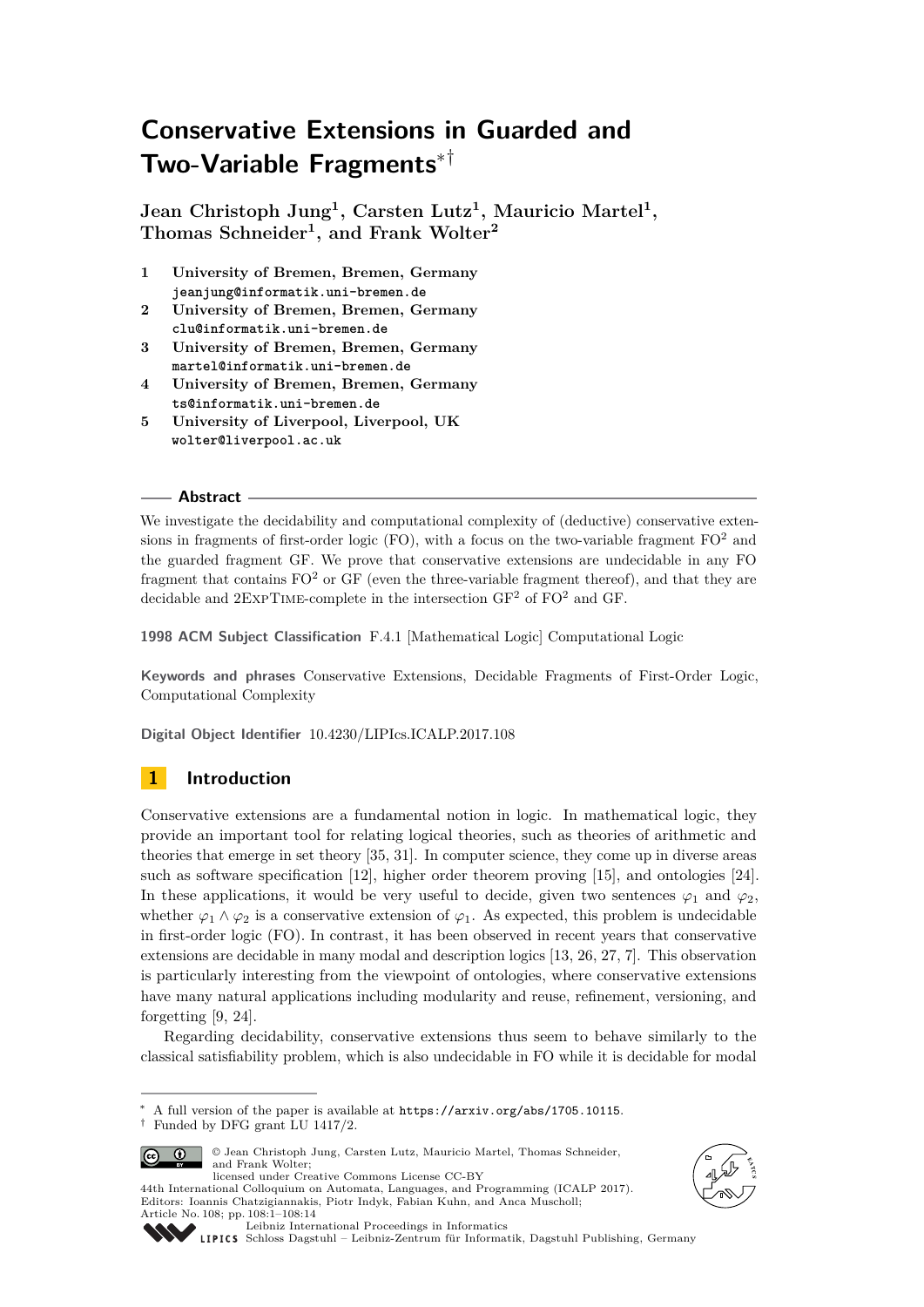# **Conservative Extensions in Guarded and Two-Variable Fragments**∗†

**Jean Christoph Jung<sup>1</sup> , Carsten Lutz<sup>1</sup> , Mauricio Martel<sup>1</sup> , Thomas Schneider<sup>1</sup> , and Frank Wolter<sup>2</sup>**

- **1 University of Bremen, Bremen, Germany jeanjung@informatik.uni-bremen.de**
- **2 University of Bremen, Bremen, Germany clu@informatik.uni-bremen.de**
- **3 University of Bremen, Bremen, Germany martel@informatik.uni-bremen.de**
- **4 University of Bremen, Bremen, Germany ts@informatik.uni-bremen.de**
- **5 University of Liverpool, Liverpool, UK wolter@liverpool.ac.uk**

## **Abstract**

We investigate the decidability and computational complexity of (deductive) conservative extensions in fragments of first-order logic (FO), with a focus on the two-variable fragment  $FO<sup>2</sup>$  and the guarded fragment GF. We prove that conservative extensions are undecidable in any FO fragment that contains  $FO<sup>2</sup>$  or GF (even the three-variable fragment thereof), and that they are decidable and  $2$ EXPTIME-complete in the intersection  $GF<sup>2</sup>$  of  $FO<sup>2</sup>$  and GF.

**1998 ACM Subject Classification** F.4.1 [Mathematical Logic] Computational Logic

**Keywords and phrases** Conservative Extensions, Decidable Fragments of First-Order Logic, Computational Complexity

**Digital Object Identifier** [10.4230/LIPIcs.ICALP.2017.108](http://dx.doi.org/10.4230/LIPIcs.ICALP.2017.108)

## **1 Introduction**

Conservative extensions are a fundamental notion in logic. In mathematical logic, they provide an important tool for relating logical theories, such as theories of arithmetic and theories that emerge in set theory [\[35,](#page-13-0) [31\]](#page-13-1). In computer science, they come up in diverse areas such as software specification [\[12\]](#page-12-0), higher order theorem proving [\[15\]](#page-13-2), and ontologies [\[24\]](#page-13-3). In these applications, it would be very useful to decide, given two sentences  $\varphi_1$  and  $\varphi_2$ , whether  $\varphi_1 \wedge \varphi_2$  is a conservative extension of  $\varphi_1$ . As expected, this problem is undecidable in first-order logic (FO). In contrast, it has been observed in recent years that conservative extensions are decidable in many modal and description logics [\[13,](#page-12-1) [26,](#page-13-4) [27,](#page-13-5) [7\]](#page-12-2). This observation is particularly interesting from the viewpoint of ontologies, where conservative extensions have many natural applications including modularity and reuse, refinement, versioning, and forgetting [\[9,](#page-12-3) [24\]](#page-13-3).

Regarding decidability, conservative extensions thus seem to behave similarly to the classical satisfiability problem, which is also undecidable in FO while it is decidable for modal

 $^\dagger$  Funded by DFG grant LU 1417/2.



© Jean Christoph Jung, Carsten Lutz, Mauricio Martel, Thomas Schneider, and Frank Wolter; licensed under Creative Commons License CC-BY

44th International Colloquium on Automata, Languages, and Programming (ICALP 2017). Editors: Ioannis Chatzigiannakis, Piotr Indyk, Fabian Kuhn, and Anca Muscholl;



<sup>∗</sup> A full version of the paper is available at <https://arxiv.org/abs/1705.10115>.

Article No. 108; pp. 108:1–108[:14](#page-13-6) [Leibniz International Proceedings in Informatics](http://www.dagstuhl.de/lipics/) [Schloss Dagstuhl – Leibniz-Zentrum für Informatik, Dagstuhl Publishing, Germany](http://www.dagstuhl.de)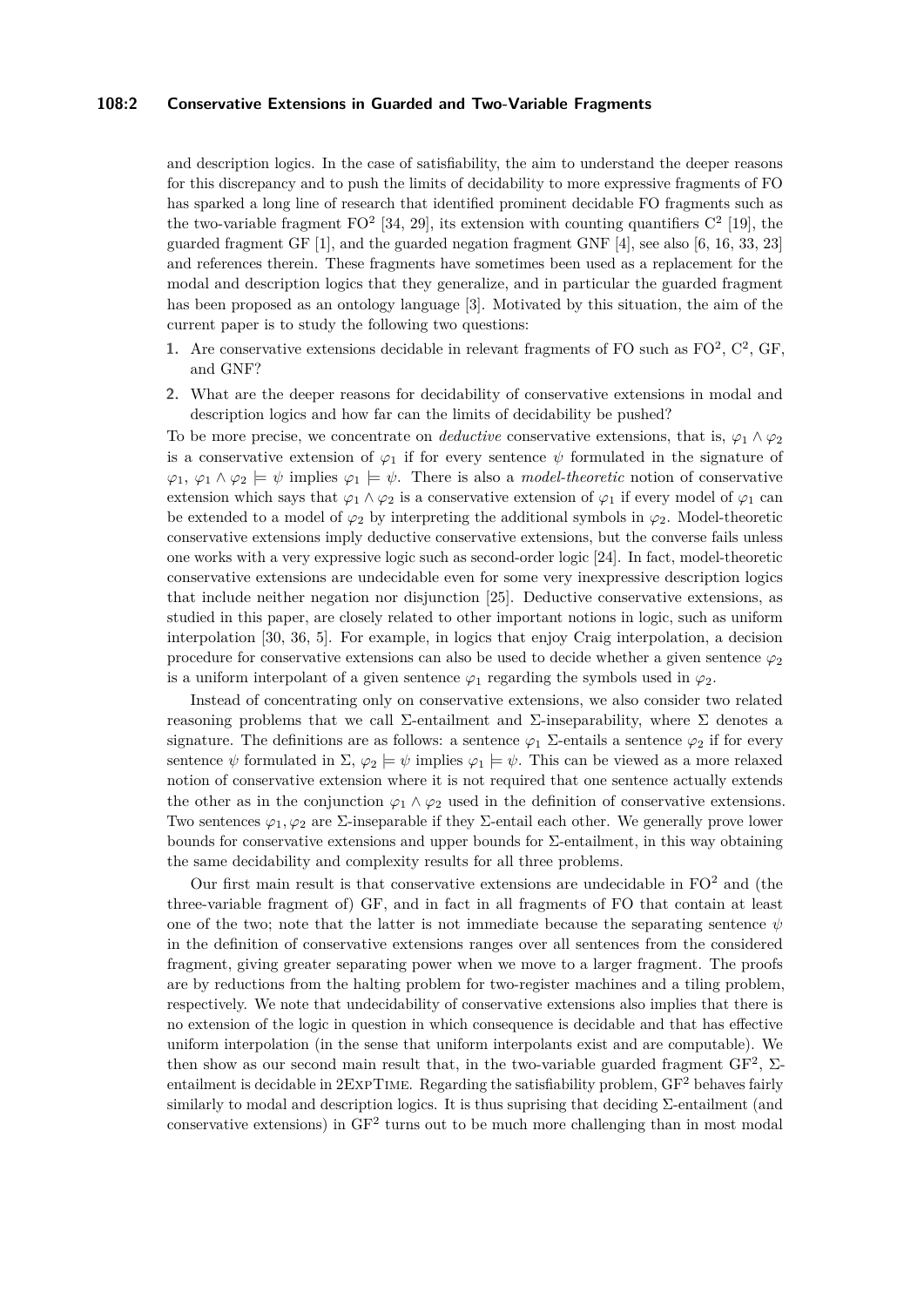## **108:2 Conservative Extensions in Guarded and Two-Variable Fragments**

and description logics. In the case of satisfiability, the aim to understand the deeper reasons for this discrepancy and to push the limits of decidability to more expressive fragments of FO has sparked a long line of research that identified prominent decidable FO fragments such as the two-variable fragment  $FO^2$  [\[34,](#page-13-7) [29\]](#page-13-8), its extension with counting quantifiers  $C^2$  [\[19\]](#page-13-9), the guarded fragment GF [\[1\]](#page-12-4), and the guarded negation fragment GNF [\[4\]](#page-12-5), see also [\[6,](#page-12-6) [16,](#page-13-10) [33,](#page-13-11) [23\]](#page-13-12) and references therein. These fragments have sometimes been used as a replacement for the modal and description logics that they generalize, and in particular the guarded fragment has been proposed as an ontology language [\[3\]](#page-12-7). Motivated by this situation, the aim of the current paper is to study the following two questions:

- 1. Are conservative extensions decidable in relevant fragments of FO such as  $FO^2$ ,  $C^2$ , GF, and GNF?
- **2.** What are the deeper reasons for decidability of conservative extensions in modal and description logics and how far can the limits of decidability be pushed?

To be more precise, we concentrate on *deductive* conservative extensions, that is,  $\varphi_1 \wedge \varphi_2$ is a conservative extension of  $\varphi_1$  if for every sentence  $\psi$  formulated in the signature of  $\varphi_1, \varphi_1 \wedge \varphi_2 \models \psi$  implies  $\varphi_1 \models \psi$ . There is also a *model-theoretic* notion of conservative extension which says that  $\varphi_1 \wedge \varphi_2$  is a conservative extension of  $\varphi_1$  if every model of  $\varphi_1$  can be extended to a model of  $\varphi_2$  by interpreting the additional symbols in  $\varphi_2$ . Model-theoretic conservative extensions imply deductive conservative extensions, but the converse fails unless one works with a very expressive logic such as second-order logic [\[24\]](#page-13-3). In fact, model-theoretic conservative extensions are undecidable even for some very inexpressive description logics that include neither negation nor disjunction [\[25\]](#page-13-13). Deductive conservative extensions, as studied in this paper, are closely related to other important notions in logic, such as uniform interpolation [\[30,](#page-13-14) [36,](#page-13-15) [5\]](#page-12-8). For example, in logics that enjoy Craig interpolation, a decision procedure for conservative extensions can also be used to decide whether a given sentence  $\varphi_2$ is a uniform interpolant of a given sentence  $\varphi_1$  regarding the symbols used in  $\varphi_2$ .

Instead of concentrating only on conservative extensions, we also consider two related reasoning problems that we call  $\Sigma$ -entailment and  $\Sigma$ -inseparability, where  $\Sigma$  denotes a signature. The definitions are as follows: a sentence  $\varphi_1$  Σ-entails a sentence  $\varphi_2$  if for every sentence  $\psi$  formulated in  $\Sigma$ ,  $\varphi_2 \models \psi$  implies  $\varphi_1 \models \psi$ . This can be viewed as a more relaxed notion of conservative extension where it is not required that one sentence actually extends the other as in the conjunction  $\varphi_1 \wedge \varphi_2$  used in the definition of conservative extensions. Two sentences  $\varphi_1, \varphi_2$  are  $\Sigma$ -inseparable if they  $\Sigma$ -entail each other. We generally prove lower bounds for conservative extensions and upper bounds for  $\Sigma$ -entailment, in this way obtaining the same decidability and complexity results for all three problems.

Our first main result is that conservative extensions are undecidable in  $FO<sup>2</sup>$  and (the three-variable fragment of) GF, and in fact in all fragments of FO that contain at least one of the two; note that the latter is not immediate because the separating sentence  $\psi$ in the definition of conservative extensions ranges over all sentences from the considered fragment, giving greater separating power when we move to a larger fragment. The proofs are by reductions from the halting problem for two-register machines and a tiling problem, respectively. We note that undecidability of conservative extensions also implies that there is no extension of the logic in question in which consequence is decidable and that has effective uniform interpolation (in the sense that uniform interpolants exist and are computable). We then show as our second main result that, in the two-variable guarded fragment  $GF^2$ ,  $\Sigma$ entailment is decidable in  $2$ EXPTIME. Regarding the satisfiability problem,  $GF<sup>2</sup>$  behaves fairly similarly to modal and description logics. It is thus suprising that deciding  $\Sigma$ -entailment (and conservative extensions) in  $GF^2$  turns out to be much more challenging than in most modal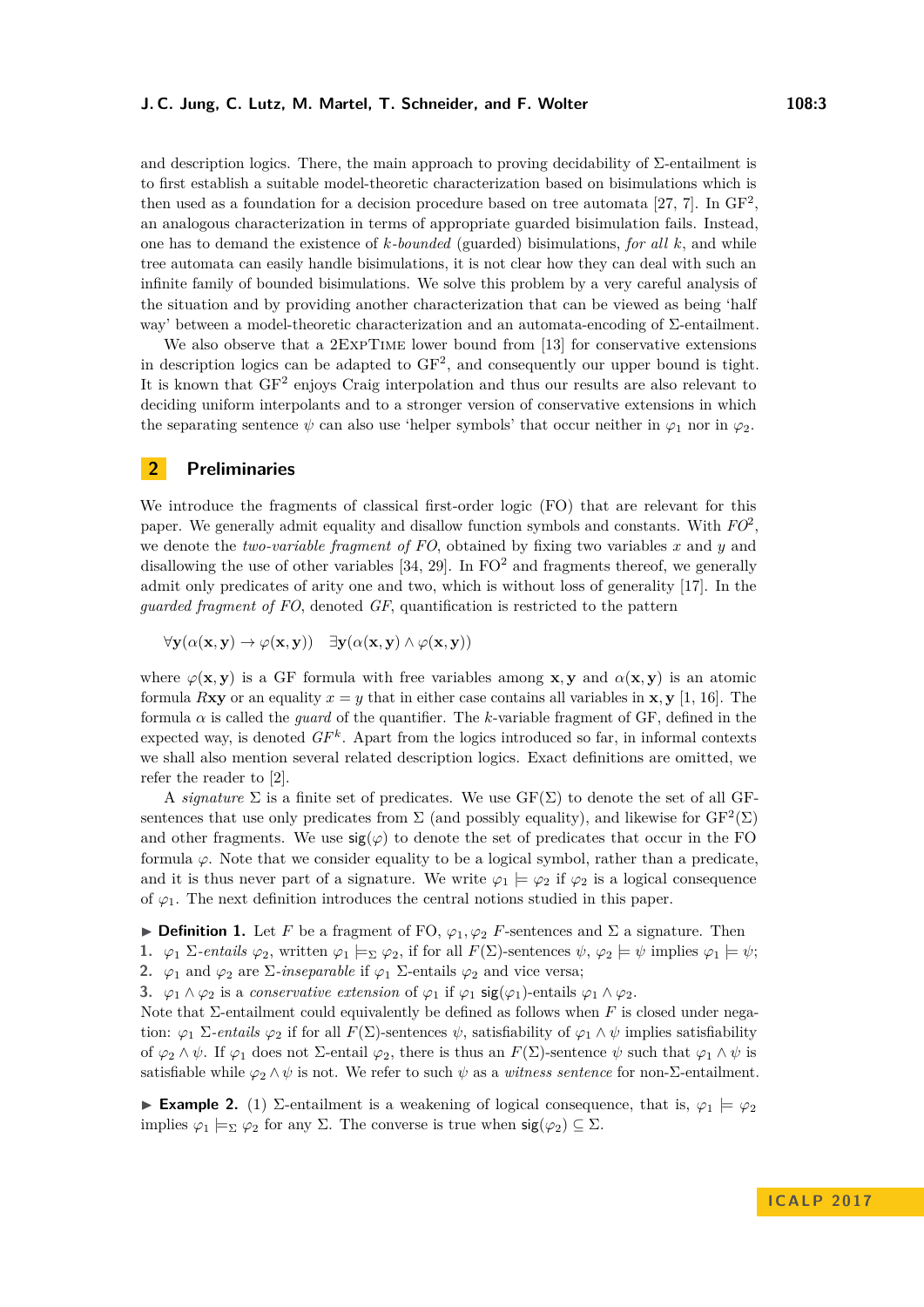and description logics. There, the main approach to proving decidability of  $\Sigma$ -entailment is to first establish a suitable model-theoretic characterization based on bisimulations which is then used as a foundation for a decision procedure based on tree automata [\[27,](#page-13-5) [7\]](#page-12-2). In  $GF^2$ , an analogous characterization in terms of appropriate guarded bisimulation fails. Instead, one has to demand the existence of *k-bounded* (guarded) bisimulations, *for all k*, and while tree automata can easily handle bisimulations, it is not clear how they can deal with such an infinite family of bounded bisimulations. We solve this problem by a very careful analysis of the situation and by providing another characterization that can be viewed as being 'half way' between a model-theoretic characterization and an automata-encoding of Σ-entailment.

We also observe that a 2ExpTIME lower bound from [\[13\]](#page-12-1) for conservative extensions in description logics can be adapted to GF<sup>2</sup> , and consequently our upper bound is tight. It is known that  $GF^2$  enjoys Craig interpolation and thus our results are also relevant to deciding uniform interpolants and to a stronger version of conservative extensions in which the separating sentence  $\psi$  can also use 'helper symbols' that occur neither in  $\varphi_1$  nor in  $\varphi_2$ .

## **2 Preliminaries**

We introduce the fragments of classical first-order logic (FO) that are relevant for this paper. We generally admit equality and disallow function symbols and constants. With *FO*<sup>2</sup> , we denote the *two-variable fragment of FO*, obtained by fixing two variables *x* and *y* and disallowing the use of other variables  $[34, 29]$  $[34, 29]$  $[34, 29]$ . In FO<sup>2</sup> and fragments thereof, we generally admit only predicates of arity one and two, which is without loss of generality [\[17\]](#page-13-16). In the *guarded fragment of FO*, denoted *GF*, quantification is restricted to the pattern

 $\forall$ **y**( $\alpha$ (**x**,**y**)  $\rightarrow \varphi$ (**x**,**y**))  $\exists$ **y**( $\alpha$ (**x**,**y**))  $\land \varphi$ (**x**,**y**))

where  $\varphi(\mathbf{x}, \mathbf{y})$  is a GF formula with free variables among **x**, **y** and  $\alpha(\mathbf{x}, \mathbf{y})$  is an atomic formula *R***xy** or an equality  $x = y$  that in either case contains all variables in **x**, **y** [\[1,](#page-12-4) [16\]](#page-13-10). The formula  $\alpha$  is called the *guard* of the quantifier. The *k*-variable fragment of GF, defined in the expected way, is denoted  $GF<sup>k</sup>$ . Apart from the logics introduced so far, in informal contexts we shall also mention several related description logics. Exact definitions are omitted, we refer the reader to [\[2\]](#page-12-9).

A *signature*  $\Sigma$  is a finite set of predicates. We use  $GF(\Sigma)$  to denote the set of all GFsentences that use only predicates from  $\Sigma$  (and possibly equality), and likewise for  $\mathrm{GF}^2(\Sigma)$ and other fragments. We use  $sig(\varphi)$  to denote the set of predicates that occur in the FO formula  $\varphi$ . Note that we consider equality to be a logical symbol, rather than a predicate, and it is thus never part of a signature. We write  $\varphi_1 \models \varphi_2$  if  $\varphi_2$  is a logical consequence of  $\varphi_1$ . The next definition introduces the central notions studied in this paper.

<span id="page-2-1"></span>**Definition 1.** Let F be a fragment of FO,  $\varphi_1, \varphi_2$  F-sentences and  $\Sigma$  a signature. Then

**1.**  $\varphi_1 \Sigma$ -entails  $\varphi_2$ , written  $\varphi_1 \models_{\Sigma} \varphi_2$ , if for all  $F(\Sigma)$ -sentences  $\psi, \varphi_2 \models \psi$  implies  $\varphi_1 \models \psi$ ;

**2.**  $\varphi_1$  and  $\varphi_2$  are  $\Sigma$ *-inseparable* if  $\varphi_1$   $\Sigma$ -entails  $\varphi_2$  and vice versa;

**3.**  $\varphi_1 \wedge \varphi_2$  is a *conservative extension* of  $\varphi_1$  if  $\varphi_1$  sig( $\varphi_1$ )-entails  $\varphi_1 \wedge \varphi_2$ .

Note that Σ-entailment could equivalently be defined as follows when *F* is closed under negation:  $\varphi_1$  Σ*-entails*  $\varphi_2$  if for all  $F(\Sigma)$ -sentences  $\psi$ , satisfiability of  $\varphi_1 \wedge \psi$  implies satisfiability of *ϕ*<sup>2</sup> ∧ *ψ*. If *ϕ*<sup>1</sup> does not Σ-entail *ϕ*2, there is thus an *F*(Σ)-sentence *ψ* such that *ϕ*<sup>1</sup> ∧ *ψ* is satisfiable while  $\varphi_2 \wedge \psi$  is not. We refer to such  $\psi$  as a *witness sentence* for non- $\Sigma$ -entailment.

<span id="page-2-0"></span>**Example 2.** (1)  $\Sigma$ -entailment is a weakening of logical consequence, that is,  $\varphi_1 \models \varphi_2$ implies  $\varphi_1 \models_{\Sigma} \varphi_2$  for any  $\Sigma$ . The converse is true when  $sig(\varphi_2) \subseteq \Sigma$ .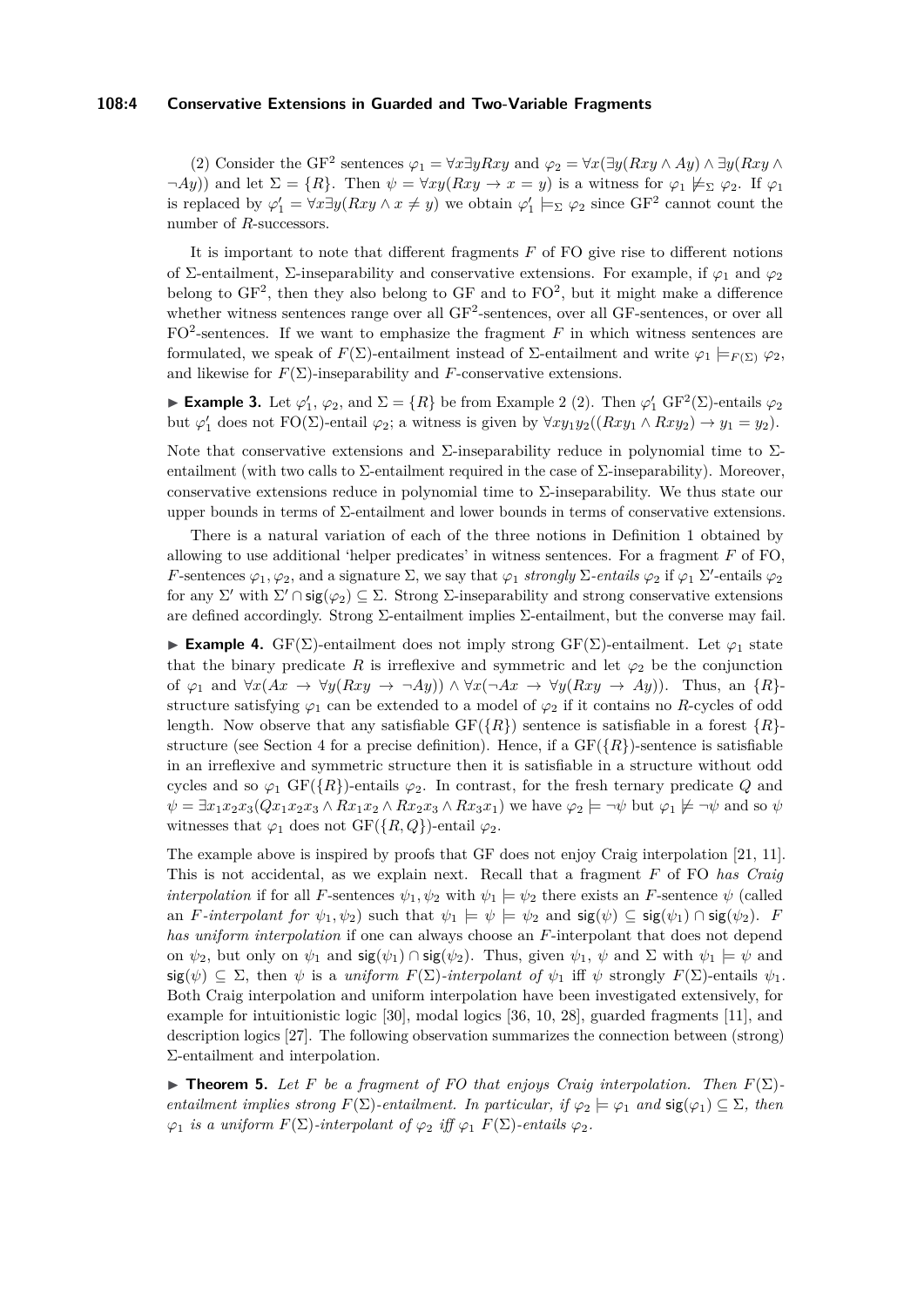## **108:4 Conservative Extensions in Guarded and Two-Variable Fragments**

(2) Consider the GF<sup>2</sup> sentences  $\varphi_1 = \forall x \exists y Rxy$  and  $\varphi_2 = \forall x (\exists y (Rxy \land Ay) \land \exists y (Rxy \land \exists y (Rxy \land \exists z y Rxy))$  $\neg Ay)$ ) and let  $\Sigma = \{R\}$ . Then  $\psi = \forall xy(Rxy \rightarrow x = y)$  is a witness for  $\varphi_1 \not\models_{\Sigma} \varphi_2$ . If  $\varphi_1$ is replaced by  $\varphi'_1 = \forall x \exists y (Rxy \land x \neq y)$  we obtain  $\varphi'_1 \models_{\Sigma} \varphi_2$  since GF<sup>2</sup> cannot count the number of *R*-successors.

It is important to note that different fragments *F* of FO give rise to different notions of Σ-entailment, Σ-inseparability and conservative extensions. For example, if *ϕ*<sup>1</sup> and *ϕ*<sup>2</sup> belong to  $GF^2$ , then they also belong to  $GF$  and to  $FO^2$ , but it might make a difference whether witness sentences range over all  $GF<sup>2</sup>$ -sentences, over all  $GF$ -sentences, or over all  $FO<sup>2</sup>$ -sentences. If we want to emphasize the fragment  $F$  in which witness sentences are formulated, we speak of *F*(Σ)-entailment instead of Σ-entailment and write *ϕ*<sup>1</sup> |=*<sup>F</sup>* (Σ) *ϕ*2, and likewise for  $F(\Sigma)$ -inseparability and *F*-conservative extensions.

**► Example 3.** Let  $\varphi'_1$ ,  $\varphi_2$ , and  $\Sigma = \{R\}$  be from Example [2](#page-2-0) (2). Then  $\varphi'_1$  GF<sup>2</sup>( $\Sigma$ )-entails  $\varphi_2$ but  $\varphi'_1$  does not  $FO(\Sigma)$ -entail  $\varphi_2$ ; a witness is given by  $\forall xy_1y_2((Rxy_1 \wedge Rxy_2) \rightarrow y_1 = y_2)$ .

Note that conservative extensions and  $\Sigma$ -inseparability reduce in polynomial time to  $\Sigma$ entailment (with two calls to  $\Sigma$ -entailment required in the case of  $\Sigma$ -inseparability). Moreover, conservative extensions reduce in polynomial time to  $\Sigma$ -inseparability. We thus state our upper bounds in terms of  $\Sigma$ -entailment and lower bounds in terms of conservative extensions.

There is a natural variation of each of the three notions in Definition [1](#page-2-1) obtained by allowing to use additional 'helper predicates' in witness sentences. For a fragment *F* of FO, *F*-sentences  $\varphi_1, \varphi_2$ , and a signature  $\Sigma$ , we say that  $\varphi_1$  *strongly*  $\Sigma$ -*entails*  $\varphi_2$  if  $\varphi_1$   $\Sigma'$ -entails  $\varphi_2$ for any  $\Sigma'$  with  $\Sigma' \cap \mathsf{sig}(\varphi_2) \subseteq \Sigma$ . Strong  $\Sigma$ -inseparability and strong conservative extensions are defined accordingly. Strong  $\Sigma$ -entailment implies  $\Sigma$ -entailment, but the converse may fail.

**Example 4.** GF(Σ)-entailment does not imply strong GF(Σ)-entailment. Let  $\varphi_1$  state that the binary predicate  $R$  is irreflexive and symmetric and let  $\varphi_2$  be the conjunction of  $\varphi_1$  and  $\forall x(Ax \rightarrow \forall y(Rxy \rightarrow \neg Ay)) \land \forall x(\neg Ax \rightarrow \forall y(Rxy \rightarrow Ay)).$  Thus, an  $\{R\}$ structure satisfying  $\varphi_1$  can be extended to a model of  $\varphi_2$  if it contains no *R*-cycles of odd length. Now observe that any satisfiable  $GF({R})$  sentence is satisfiable in a forest  ${R}$ -structure (see Section [4](#page-6-0) for a precise definition). Hence, if a  $GF({R})$ -sentence is satisfiable in an irreflexive and symmetric structure then it is satisfiable in a structure without odd cycles and so  $\varphi_1$  GF( $\{R\}$ )-entails  $\varphi_2$ . In contrast, for the fresh ternary predicate *Q* and  $\psi = \exists x_1 x_2 x_3 (Qx_1 x_2 x_3 \wedge Rx_1 x_2 \wedge Rx_2 x_3 \wedge Rx_3 x_1)$  we have  $\varphi_2 \models \neg \psi$  but  $\varphi_1 \not\models \neg \psi$  and so  $\psi$ witnesses that  $\varphi_1$  does not GF({*R, Q*})-entail  $\varphi_2$ .

The example above is inspired by proofs that GF does not enjoy Craig interpolation [\[21,](#page-13-17) [11\]](#page-12-10). This is not accidental, as we explain next. Recall that a fragment *F* of FO *has Craig interpolation* if for all *F*-sentences  $\psi_1, \psi_2$  with  $\psi_1 \models \psi_2$  there exists an *F*-sentence  $\psi$  (called an *F*-interpolant for  $\psi_1, \psi_2$  such that  $\psi_1 \models \psi \models \psi_2$  and  $\text{sig}(\psi) \subseteq \text{sig}(\psi_1) \cap \text{sig}(\psi_2)$ . *F has uniform interpolation* if one can always choose an *F*-interpolant that does not depend on  $\psi_2$ , but only on  $\psi_1$  and  $\text{sig}(\psi_1) \cap \text{sig}(\psi_2)$ . Thus, given  $\psi_1$ ,  $\psi$  and  $\Sigma$  with  $\psi_1 \models \psi$  and  $\text{sig}(\psi) \subseteq \Sigma$ , then  $\psi$  is a *uniform*  $F(\Sigma)$ *-interpolant of*  $\psi_1$  iff  $\psi$  strongly  $F(\Sigma)$ -entails  $\psi_1$ . Both Craig interpolation and uniform interpolation have been investigated extensively, for example for intuitionistic logic [\[30\]](#page-13-14), modal logics [\[36,](#page-13-15) [10,](#page-12-11) [28\]](#page-13-18), guarded fragments [\[11\]](#page-12-10), and description logics [\[27\]](#page-13-5). The following observation summarizes the connection between (strong) Σ-entailment and interpolation.

<span id="page-3-0"></span>**Findamentally Theorem 5.** *Let F be a fragment of FO that enjoys Craig interpolation. Then*  $F(\Sigma)$ *entailment implies strong*  $F(\Sigma)$ *-entailment. In particular, if*  $\varphi_2 \models \varphi_1$  *and*  $\text{sig}(\varphi_1) \subseteq \Sigma$ *, then*  $\varphi_1$  *is a uniform*  $F(\Sigma)$ *-interpolant of*  $\varphi_2$  *iff*  $\varphi_1$   $F(\Sigma)$ *-entails*  $\varphi_2$ *.*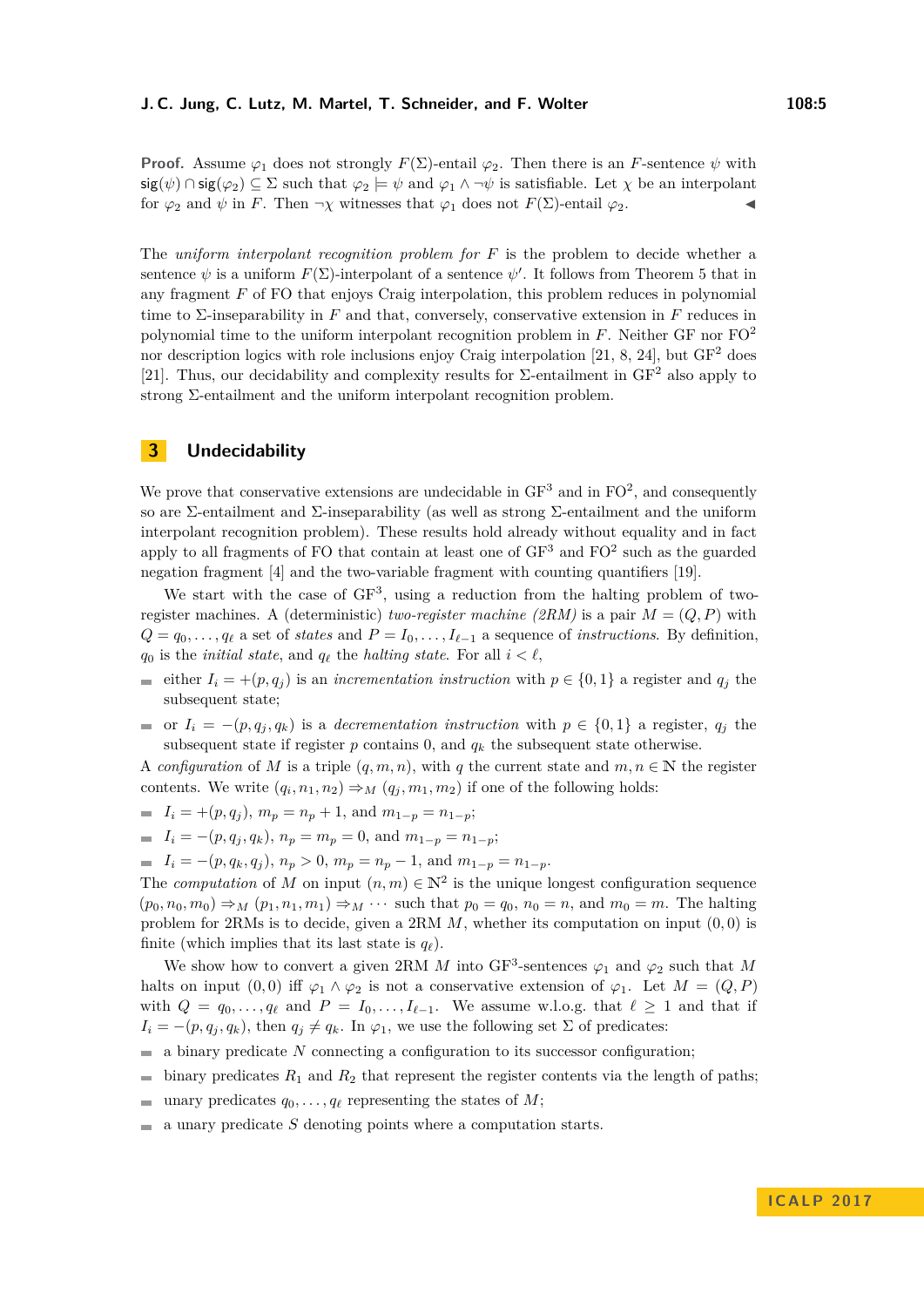**Proof.** Assume  $\varphi_1$  does not strongly  $F(\Sigma)$ -entail  $\varphi_2$ . Then there is an *F*-sentence  $\psi$  with  $\text{sig}(\psi) \cap \text{sig}(\varphi_2) \subseteq \Sigma$  such that  $\varphi_2 \models \psi$  and  $\varphi_1 \land \neg \psi$  is satisfiable. Let  $\chi$  be an interpolant for  $\varphi_2$  and  $\psi$  in *F*. Then  $\neg \chi$  witnesses that  $\varphi_1$  does not  $F(\Sigma)$ -entail  $\varphi_2$ .

The *uniform interpolant recognition problem for F* is the problem to decide whether a sentence  $\psi$  is a uniform  $F(\Sigma)$ -interpolant of a sentence  $\psi'$ . It follows from Theorem [5](#page-3-0) that in any fragment *F* of FO that enjoys Craig interpolation, this problem reduces in polynomial time to Σ-inseparability in *F* and that, conversely, conservative extension in *F* reduces in polynomial time to the uniform interpolant recognition problem in *F*. Neither GF nor FO<sup>2</sup> nor description logics with role inclusions enjoy Craig interpolation [\[21,](#page-13-17) [8,](#page-12-12) [24\]](#page-13-3), but  $GF<sup>2</sup>$  does [\[21\]](#page-13-17). Thus, our decidability and complexity results for  $\Sigma$ -entailment in GF<sup>2</sup> also apply to strong Σ-entailment and the uniform interpolant recognition problem.

## **3 Undecidability**

We prove that conservative extensions are undecidable in  $GF<sup>3</sup>$  and in  $FO<sup>2</sup>$ , and consequently so are Σ-entailment and Σ-inseparability (as well as strong Σ-entailment and the uniform interpolant recognition problem). These results hold already without equality and in fact apply to all fragments of FO that contain at least one of  $GF<sup>3</sup>$  and  $FO<sup>2</sup>$  such as the guarded negation fragment [\[4\]](#page-12-5) and the two-variable fragment with counting quantifiers [\[19\]](#page-13-9).

We start with the case of  $GF<sup>3</sup>$ , using a reduction from the halting problem of tworegister machines. A (deterministic) *two-register machine (2RM)* is a pair  $M = (Q, P)$  with  $Q = q_0, \ldots, q_\ell$  a set of *states* and  $P = I_0, \ldots, I_{\ell-1}$  a sequence of *instructions*. By definition,  $q_0$  is the *initial state*, and  $q_\ell$  the *halting state*. For all  $i < \ell$ ,

- either  $I_i = +(p, q_i)$  is an *incrementation instruction* with  $p \in \{0, 1\}$  a register and  $q_i$  the subsequent state;
- or  $I_i = -(p, q_i, q_k)$  is a *decrementation instruction* with  $p \in \{0, 1\}$  a register,  $q_i$  the subsequent state if register  $p$  contains  $0$ , and  $q_k$  the subsequent state otherwise.

A *configuration* of *M* is a triple  $(q, m, n)$ , with q the current state and  $m, n \in \mathbb{N}$  the register contents. We write  $(q_i, n_1, n_2) \Rightarrow_M (q_j, m_1, m_2)$  if one of the following holds:

- $I_i = +(p, q_j), m_p = n_p + 1$ , and  $m_{1-p} = n_{1-p}$ ;
- $I_i = -(p, q_j, q_k), n_p = m_p = 0$ , and  $m_{1-p} = n_{1-p}$ ;
- $I_i = -(p, q_k, q_j), n_p > 0, m_p = n_p 1, \text{ and } m_{1-p} = n_{1-p}.$

The *computation* of *M* on input  $(n, m) \in \mathbb{N}^2$  is the unique longest configuration sequence  $(p_0, n_0, m_0) \Rightarrow_M (p_1, n_1, m_1) \Rightarrow_M \cdots$  such that  $p_0 = q_0$ ,  $n_0 = n$ , and  $m_0 = m$ . The halting problem for 2RMs is to decide, given a 2RM *M*, whether its computation on input (0*,* 0) is finite (which implies that its last state is  $q_\ell$ ).

We show how to convert a given 2RM *M* into GF<sup>3</sup>-sentences  $\varphi_1$  and  $\varphi_2$  such that *M* halts on input  $(0,0)$  iff  $\varphi_1 \wedge \varphi_2$  is not a conservative extension of  $\varphi_1$ . Let  $M = (Q, P)$ with  $Q = q_0, \ldots, q_\ell$  and  $P = I_0, \ldots, I_{\ell-1}$ . We assume w.l.o.g. that  $\ell \geq 1$  and that if  $I_i = -(p, q_i, q_k)$ , then  $q_i \neq q_k$ . In  $\varphi_1$ , we use the following set  $\Sigma$  of predicates:

- $\blacksquare$  a binary predicate *N* connecting a configuration to its successor configuration;
- $\blacksquare$  binary predicates  $R_1$  and  $R_2$  that represent the register contents via the length of paths;
- unary predicates  $q_0, \ldots, q_\ell$  representing the states of *M*;
- $\blacksquare$  a unary predicate *S* denoting points where a computation starts.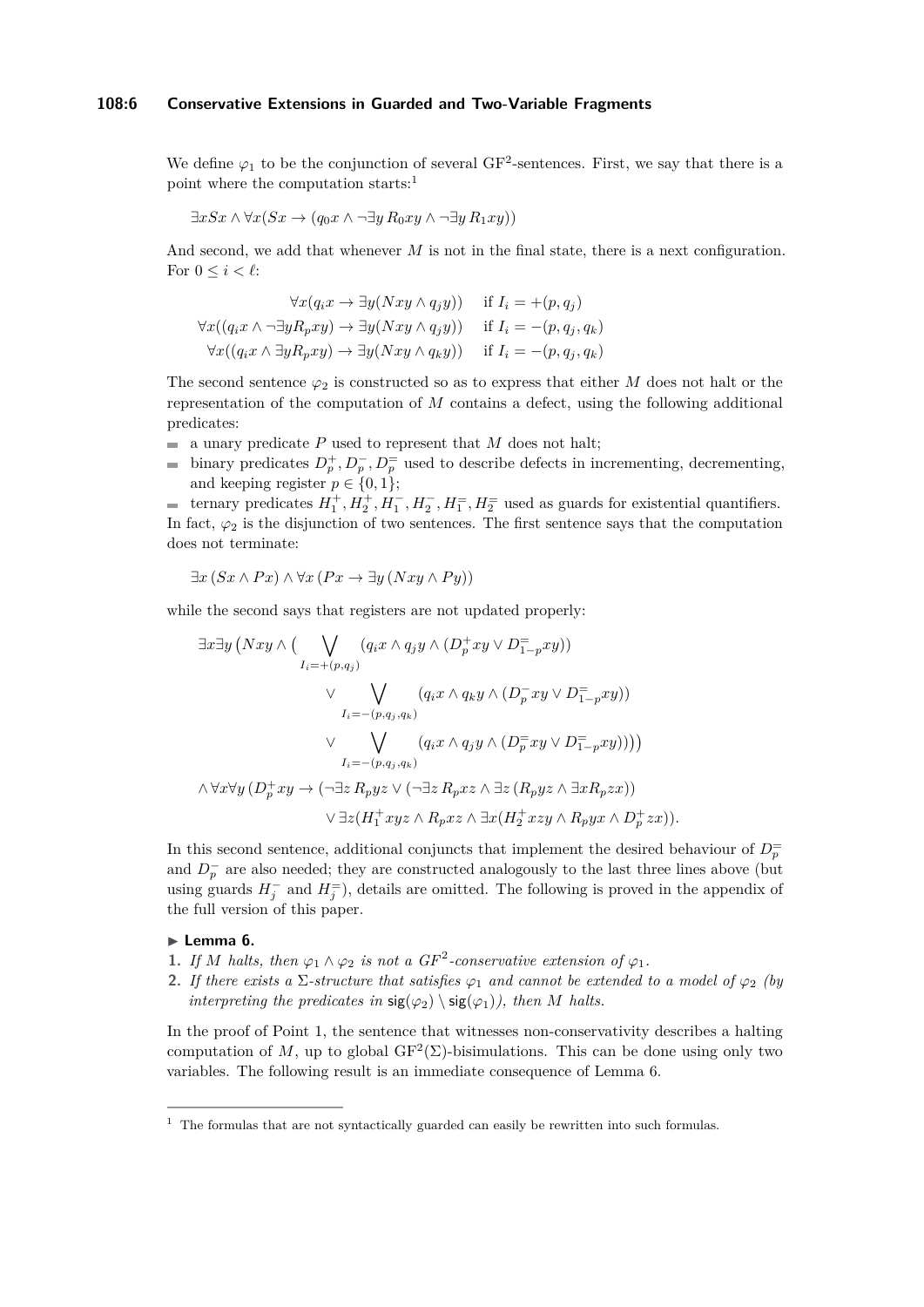## **108:6 Conservative Extensions in Guarded and Two-Variable Fragments**

We define  $\varphi_1$  to be the conjunction of several GF<sup>2</sup>-sentences. First, we say that there is a point where the computation starts: $1$ 

$$
\exists x Sx \land \forall x (Sx \to (q_0 x \land \neg \exists y R_0 xy \land \neg \exists y R_1 xy))
$$

And second, we add that whenever *M* is not in the final state, there is a next configuration. For  $0 \leq i \leq \ell$ :

$$
\forall x (q_i x \to \exists y (Nxy \land q_j y)) \quad \text{if } I_i = +(p, q_j)
$$
  

$$
\forall x ((q_i x \land \neg \exists y R_p xy) \to \exists y (Nxy \land q_j y)) \quad \text{if } I_i = -(p, q_j, q_k)
$$
  

$$
\forall x ((q_i x \land \exists y R_p xy) \to \exists y (Nxy \land q_k y)) \quad \text{if } I_i = -(p, q_j, q_k)
$$

The second sentence  $\varphi_2$  is constructed so as to express that either *M* does not halt or the representation of the computation of *M* contains a defect, using the following additional predicates:

- $\blacksquare$  a unary predicate P used to represent that M does not halt;
- binary predicates  $D_p^+, D_p^-, D_p^=$  used to describe defects in incrementing, decrementing, and keeping register  $p \in \{0, 1\};$

ternary predicates  $H_1^+, H_2^+, H_1^-, H_2^-, H_1^-, H_2^+$  used as guards for existential quantifiers. In fact,  $\varphi_2$  is the disjunction of two sentences. The first sentence says that the computation does not terminate:

$$
\exists x (Sx \land Px) \land \forall x (Px \to \exists y (Nxy \land Py))
$$

while the second says that registers are not updated properly:

$$
\exists x \exists y \left( Nxy \land \left( \bigvee_{I_i = + (p,q_j)} (q_i x \land q_j y \land (D_p^+ xy \lor D_{1-p}^- xy)) \right) \lor \bigvee_{I_i = - (p,q_j,q_k)} (q_i x \land q_k y \land (D_p^- xy \lor D_{1-p}^- xy)) \right) \lor \bigvee_{I_i = - (p,q_j,q_k)} (q_i x \land q_j y \land (D_p^= xy \lor D_{1-p}^- xy))) \lor \bigwedge_{I_i = - (p,q_j,q_k)} (q_i x \land q_j y \land (D_p^= xy \lor D_{1-p}^- xy))) \lor \exists z (H_1^+ xyz \land R_p xz \land \exists x (H_2^+ xzy \land R_p yx \land D_p^+ zx)).
$$

In this second sentence, additional conjuncts that implement the desired behaviour of  $D_p^=$ and  $D_p^-$  are also needed; they are constructed analogously to the last three lines above (but using guards  $H_j^-$  and  $H_j^=$ ), details are omitted. The following is proved in the appendix of the full version of this paper.

## <span id="page-5-1"></span>► Lemma 6.

- **1.** *If M halts, then*  $\varphi_1 \wedge \varphi_2$  *is not a GF*<sup>2</sup>-conservative extension of  $\varphi_1$ .
- **2.** If there exists a  $\Sigma$ -structure that satisfies  $\varphi_1$  and cannot be extended to a model of  $\varphi_2$  (by *interpreting the predicates in*  $sig(\varphi_2) \setminus sig(\varphi_1)$ *), then M halts.*

In the proof of Point 1, the sentence that witnesses non-conservativity describes a halting computation of M, up to global  $GF^2(\Sigma)$ -bisimulations. This can be done using only two variables. The following result is an immediate consequence of Lemma [6.](#page-5-1)

<span id="page-5-0"></span> $1$  The formulas that are not syntactically guarded can easily be rewritten into such formulas.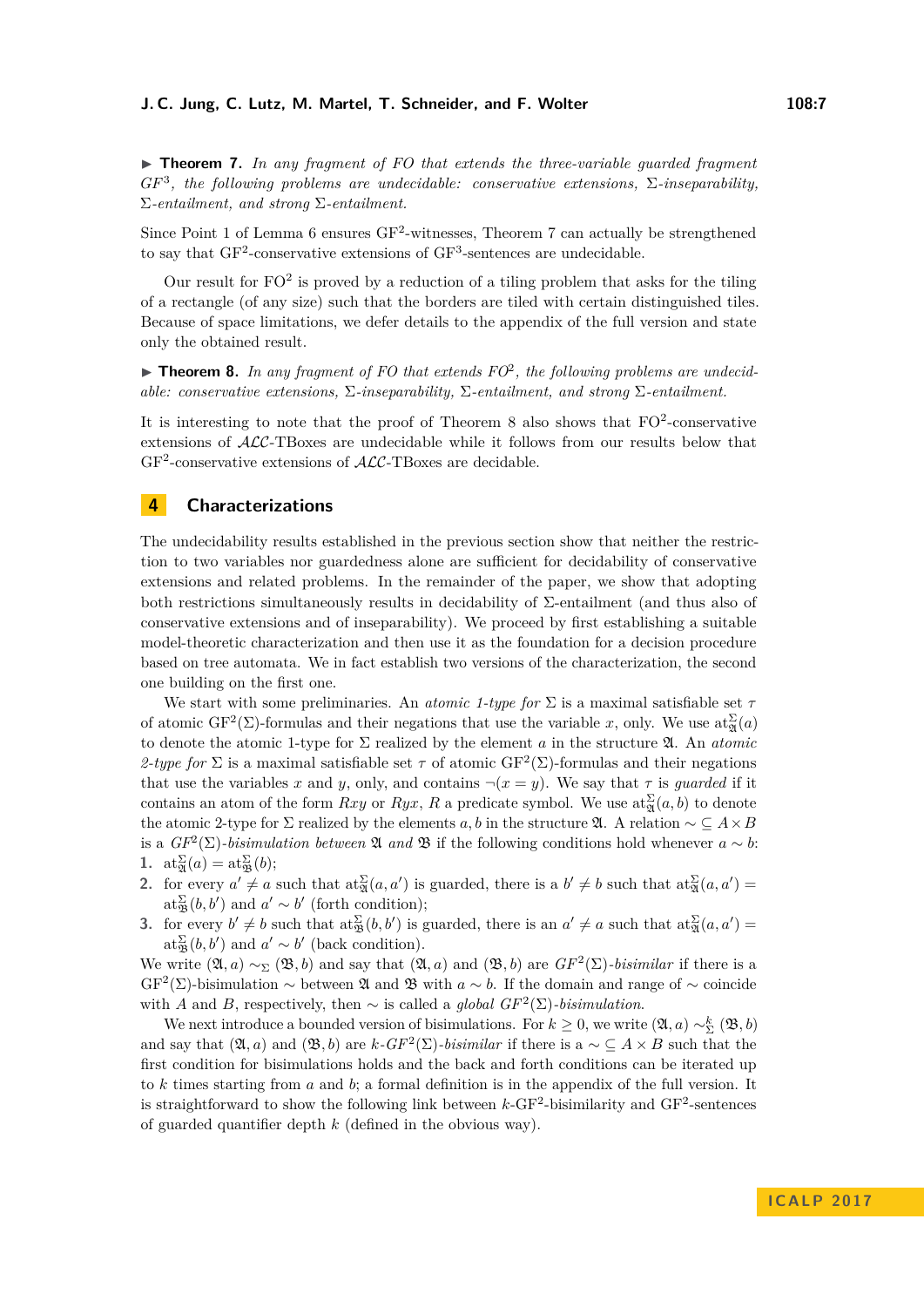<span id="page-6-1"></span>**► Theorem 7.** In any fragment of FO that extends the three-variable guarded fragment *GF*<sup>3</sup> *, the following problems are undecidable: conservative extensions,* Σ*-inseparability,* Σ*-entailment, and strong* Σ*-entailment.*

Since Point 1 of Lemma [6](#page-5-1) ensures  $GF^2$ -witnesses, Theorem [7](#page-6-1) can actually be strengthened to say that  $GF^2$ -conservative extensions of  $GF^3$ -sentences are undecidable.

Our result for  $FO^2$  is proved by a reduction of a tiling problem that asks for the tiling of a rectangle (of any size) such that the borders are tiled with certain distinguished tiles. Because of space limitations, we defer details to the appendix of the full version and state only the obtained result.

<span id="page-6-2"></span>▶ Theorem 8. In any fragment of FO that extends FO<sup>2</sup>, the following problems are undecid*able: conservative extensions,* Σ*-inseparability,* Σ*-entailment, and strong* Σ*-entailment.*

It is interesting to note that the proof of Theorem [8](#page-6-2) also shows that  $FO^2$ -conservative extensions of ALC-TBoxes are undecidable while it follows from our results below that  $GF<sup>2</sup>$ -conservative extensions of  $\mathcal{ALC}$ -TBoxes are decidable.

# <span id="page-6-0"></span>**4 Characterizations**

The undecidability results established in the previous section show that neither the restriction to two variables nor guardedness alone are sufficient for decidability of conservative extensions and related problems. In the remainder of the paper, we show that adopting both restrictions simultaneously results in decidability of Σ-entailment (and thus also of conservative extensions and of inseparability). We proceed by first establishing a suitable model-theoretic characterization and then use it as the foundation for a decision procedure based on tree automata. We in fact establish two versions of the characterization, the second one building on the first one.

We start with some preliminaries. An *atomic 1-type for* Σ is a maximal satisfiable set *τ* of atomic  $GF^2(\Sigma)$ -formulas and their negations that use the variable *x*, only. We use  $\text{at}_{\mathfrak{A}}^{\Sigma}(a)$ to denote the atomic 1-type for Σ realized by the element *a* in the structure A. An *atomic* 2-type for  $\Sigma$  is a maximal satisfiable set  $\tau$  of atomic GF<sup>2</sup>( $\Sigma$ )-formulas and their negations that use the variables *x* and *y*, only, and contains  $\neg(x = y)$ . We say that *τ* is *quarded* if it contains an atom of the form *Rxy* or *Ryx*, *R* a predicate symbol. We use  $\text{at}_{\mathfrak{A}}^{\Sigma}(a, b)$  to denote the atomic 2-type for  $\Sigma$  realized by the elements *a, b* in the structure  $\mathfrak{A}$ . A relation  $\sim \subseteq A \times B$ is a  $GF^2(\Sigma)$ -bisimulation between  $\mathfrak A$  *and*  $\mathfrak B$  if the following conditions hold whenever  $a \sim b$ : 1.  $at_{\mathfrak{A}}^{\Sigma}(a) = at_{\mathfrak{B}}^{\Sigma}(b);$ 

- **2.** for every  $a' \neq a$  such that  $at_{\mathfrak{A}}^{\Sigma}(a, a')$  is guarded, there is a  $b' \neq b$  such that  $at_{\mathfrak{A}}^{\Sigma}(a, a') =$  $\mathrm{at}_{\mathfrak{B}}^{\Sigma}(b, b')$  and  $a' \sim b'$  (forth condition);
- **3.** for every  $b' \neq b$  such that  $at_{\mathfrak{B}}^{\Sigma}(b, b')$  is guarded, there is an  $a' \neq a$  such that  $at_{\mathfrak{A}}^{\Sigma}(a, a') =$  $\mathrm{at}_{\mathfrak{B}}^{\Sigma}(b, b')$  and  $a' \sim b'$  (back condition).

We write  $(\mathfrak{A}, a) \sim_{\Sigma} (\mathfrak{B}, b)$  and say that  $(\mathfrak{A}, a)$  and  $(\mathfrak{B}, b)$  are  $GF^2(\Sigma)$ *-bisimilar* if there is a  $GF<sup>2</sup>(\Sigma)$ -bisimulation ∼ between  $\mathfrak A$  and  $\mathfrak B$  with  $a \sim b$ . If the domain and range of ∼ coincide with *A* and *B*, respectively, then  $\sim$  is called a *global GF*<sup>2</sup>( $\Sigma$ )*-bisimulation*.

We next introduce a bounded version of bisimulations. For  $k \geq 0$ , we write  $(\mathfrak{A}, a) \sim_{\Sigma}^k (\mathfrak{B}, b)$ and say that  $(\mathfrak{A}, a)$  and  $(\mathfrak{B}, b)$  are  $k$ *-GF*<sup>2</sup>( $\Sigma$ )*-bisimilar* if there is a  $\sim \subseteq A \times B$  such that the first condition for bisimulations holds and the back and forth conditions can be iterated up to *k* times starting from *a* and *b*; a formal definition is in the appendix of the full version. It is straightforward to show the following link between  $k$ -GF<sup>2</sup>-bisimilarity and GF<sup>2</sup>-sentences of guarded quantifier depth *k* (defined in the obvious way).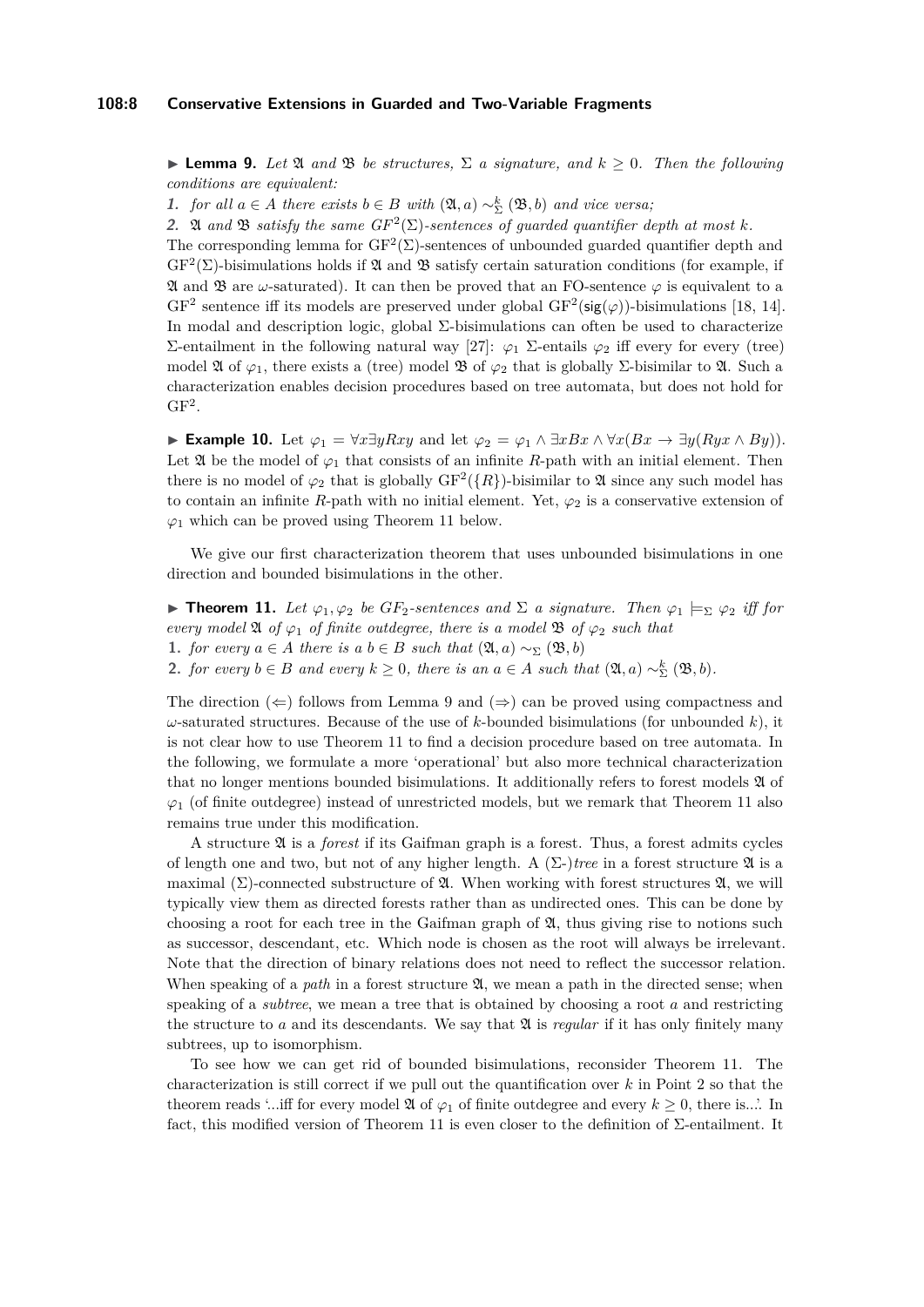## **108:8 Conservative Extensions in Guarded and Two-Variable Fragments**

<span id="page-7-1"></span> $\blacktriangleright$  **Lemma 9.** Let  $\mathfrak{A}$  and  $\mathfrak{B}$  be structures,  $\Sigma$  a signature, and  $k \geq 0$ . Then the following *conditions are equivalent:*

**1.** *for all*  $a \in A$  *there exists*  $b \in B$  *with*  $(\mathfrak{A}, a) \sim_{\Sigma}^{k} (\mathfrak{B}, b)$  *and vice versa*;

**2.** A *and*  $\mathfrak{B}$  *satisfy the same GF*<sup>2</sup>( $\Sigma$ )-sentences of guarded quantifier depth at most k.

The corresponding lemma for  $GF^2(\Sigma)$ -sentences of unbounded guarded quantifier depth and  $GF<sup>2</sup>(\Sigma)$ -bisimulations holds if  $\mathfrak A$  and  $\mathfrak B$  satisfy certain saturation conditions (for example, if  $\mathfrak A$  and  $\mathfrak B$  are *ω*-saturated). It can then be proved that an FO-sentence  $\varphi$  is equivalent to a  $GF<sup>2</sup>$  sentence iff its models are preserved under global  $GF<sup>2</sup>(sig(\varphi))$ -bisimulations [\[18,](#page-13-19) [14\]](#page-12-13). In modal and description logic, global Σ-bisimulations can often be used to characterize Σ-entailment in the following natural way [\[27\]](#page-13-5):  $\varphi_1$  Σ-entails  $\varphi_2$  iff every for every (tree) model  $\mathfrak A$  of  $\varphi_1$ , there exists a (tree) model  $\mathfrak B$  of  $\varphi_2$  that is globally  $\Sigma$ -bisimilar to  $\mathfrak A$ . Such a characterization enables decision procedures based on tree automata, but does not hold for  $GF<sup>2</sup>$ .

► Example 10. Let  $\varphi_1 = \forall x \exists y Rxy$  and let  $\varphi_2 = \varphi_1 \land \exists x Bx \land \forall x (Bx \rightarrow \exists y (Ryx \land By)).$ Let  $\mathfrak A$  be the model of  $\varphi_1$  that consists of an infinite *R*-path with an initial element. Then there is no model of  $\varphi_2$  that is globally  $\mathrm{GF}^2(\lbrace R \rbrace)$ -bisimilar to  $\mathfrak A$  since any such model has to contain an infinite *R*-path with no initial element. Yet,  $\varphi_2$  is a conservative extension of  $\varphi_1$  which can be proved using Theorem [11](#page-7-0) below.

We give our first characterization theorem that uses unbounded bisimulations in one direction and bounded bisimulations in the other.

<span id="page-7-0"></span> $\triangleright$  **Theorem 11.** Let  $\varphi_1, \varphi_2$  be GF<sub>2</sub>-sentences and  $\Sigma$  a signature. Then  $\varphi_1 \models_{\Sigma} \varphi_2$  iff for *every model*  $\mathfrak A$  *of*  $\varphi_1$  *of finite outdegree, there is a model*  $\mathfrak B$  *of*  $\varphi_2$  *such that* **1.** *for every*  $a \in A$  *there is*  $a \mid b \in B$  *such that*  $(\mathfrak{A}, a) \sim_{\Sigma} (\mathfrak{B}, b)$ **2.** *for every*  $b \in B$  *and every*  $k \ge 0$ *, there is an*  $a \in A$  *such that*  $(\mathfrak{A}, a) \sim_{\Sigma}^{k} (\mathfrak{B}, b)$ *.* 

The direction  $(\Leftarrow)$  follows from Lemma [9](#page-7-1) and  $(\Rightarrow)$  can be proved using compactness and  $\omega$ -saturated structures. Because of the use of *k*-bounded bisimulations (for unbounded *k*), it is not clear how to use Theorem [11](#page-7-0) to find a decision procedure based on tree automata. In the following, we formulate a more 'operational' but also more technical characterization that no longer mentions bounded bisimulations. It additionally refers to forest models  $\mathfrak A$  of  $\varphi_1$  (of finite outdegree) instead of unrestricted models, but we remark that Theorem [11](#page-7-0) also remains true under this modification.

A structure A is a *forest* if its Gaifman graph is a forest. Thus, a forest admits cycles of length one and two, but not of any higher length. A  $(\Sigma$ -)*tree* in a forest structure  $\mathfrak A$  is a maximal  $(\Sigma)$ -connected substructure of  $\mathfrak{A}$ . When working with forest structures  $\mathfrak{A}$ , we will typically view them as directed forests rather than as undirected ones. This can be done by choosing a root for each tree in the Gaifman graph of  $\mathfrak{A}$ , thus giving rise to notions such as successor, descendant, etc. Which node is chosen as the root will always be irrelevant. Note that the direction of binary relations does not need to reflect the successor relation. When speaking of a *path* in a forest structure  $\mathfrak{A}$ , we mean a path in the directed sense; when speaking of a *subtree*, we mean a tree that is obtained by choosing a root *a* and restricting the structure to  $a$  and its descendants. We say that  $\mathfrak A$  is *regular* if it has only finitely many subtrees, up to isomorphism.

To see how we can get rid of bounded bisimulations, reconsider Theorem [11.](#page-7-0) The characterization is still correct if we pull out the quantification over *k* in Point 2 so that the theorem reads '...iff for every model  $\mathfrak A$  of  $\varphi_1$  of finite outdegree and every  $k \geq 0$ , there is...'. In fact, this modified version of Theorem [11](#page-7-0) is even closer to the definition of Σ-entailment. It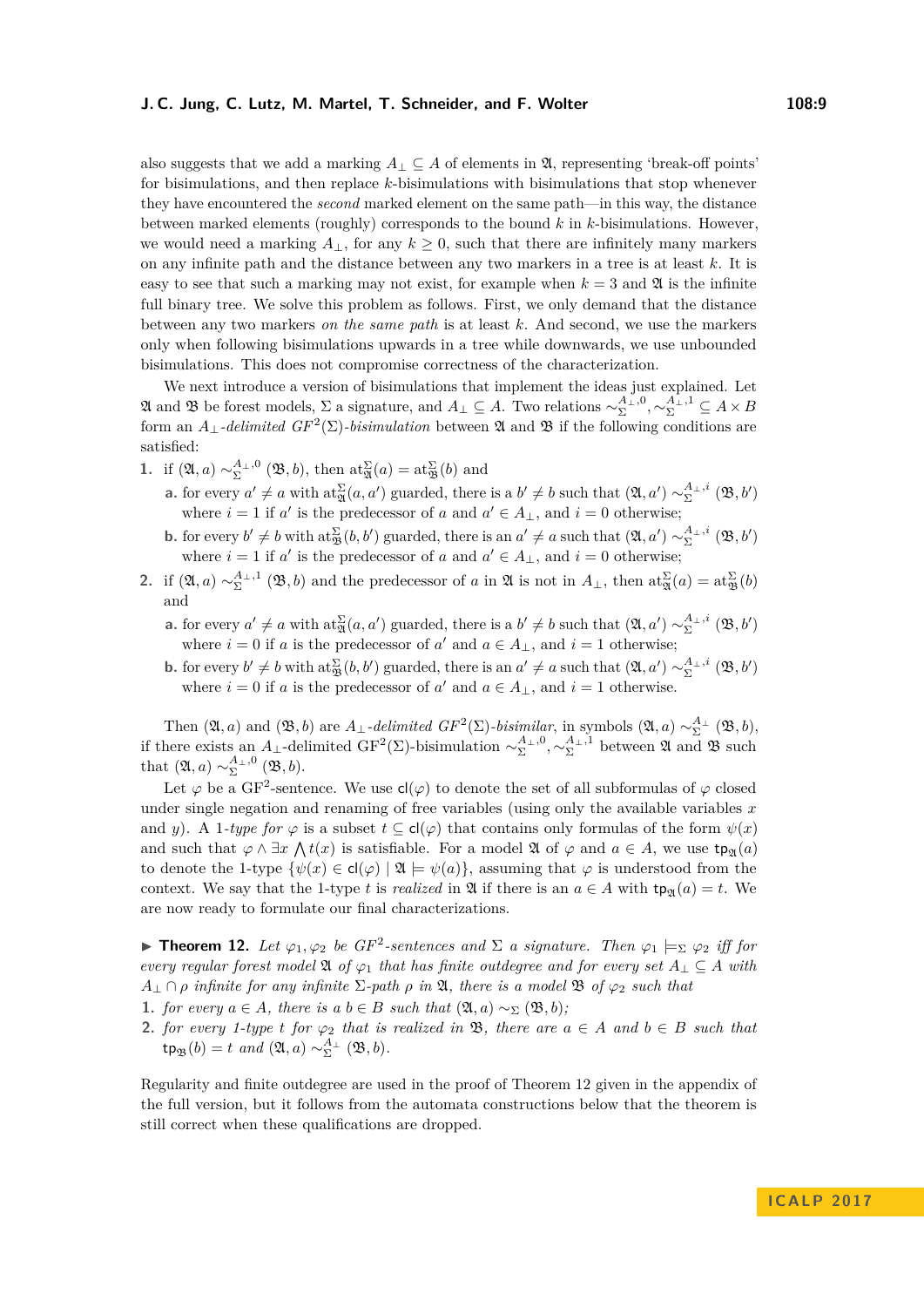also suggests that we add a marking  $A_\perp \subseteq A$  of elements in  $\mathfrak{A}$ , representing 'break-off points' for bisimulations, and then replace *k*-bisimulations with bisimulations that stop whenever they have encountered the *second* marked element on the same path—in this way, the distance between marked elements (roughly) corresponds to the bound *k* in *k*-bisimulations. However, we would need a marking  $A_{\perp}$ , for any  $k \geq 0$ , such that there are infinitely many markers on any infinite path and the distance between any two markers in a tree is at least *k*. It is easy to see that such a marking may not exist, for example when  $k = 3$  and  $\mathfrak{A}$  is the infinite full binary tree. We solve this problem as follows. First, we only demand that the distance between any two markers *on the same path* is at least *k*. And second, we use the markers only when following bisimulations upwards in a tree while downwards, we use unbounded bisimulations. This does not compromise correctness of the characterization.

We next introduce a version of bisimulations that implement the ideas just explained. Let  $\mathfrak{A}$  and  $\mathfrak{B}$  be forest models,  $\Sigma$  a signature, and  $A_{\perp} \subseteq A$ . Two relations  $\sim_{\Sigma}^{\mathcal{A}_{\perp},0},\sim_{\Sigma}^{\mathcal{A}_{\perp},1} \subseteq A \times B$ form an  $A_{\perp}$ -delimited  $GF^2(\Sigma)$ -bisimulation between  $\mathfrak A$  and  $\mathfrak B$  if the following conditions are satisfied:

- **1.** if  $(\mathfrak{A}, a) \sim_{\Sigma}^{\mathcal{A}_{\perp},0} (\mathfrak{B}, b)$ , then  $\mathrm{at}_{\mathfrak{A}}^{\Sigma}(a) = \mathrm{at}_{\mathfrak{B}}^{\Sigma}(b)$  and
	- **a.** for every  $a' \neq a$  with  $\text{at}_{\mathfrak{A}}^{\Sigma}(a, a')$  guarded, there is a  $b' \neq b$  such that  $(\mathfrak{A}, a') \sim_{\Sigma}^{\mathfrak{A}_{\perp}, i} (\mathfrak{B}, b')$ where  $i = 1$  if  $a'$  is the predecessor of  $a$  and  $a' \in A_{\perp}$ , and  $i = 0$  otherwise;
	- **b.** for every  $b' \neq b$  with  $\text{at}_{\mathfrak{B}}^{\Sigma}(b, b')$  guarded, there is an  $a' \neq a$  such that  $(\mathfrak{A}, a') \sim_{\Sigma}^{\mathfrak{A}_{\perp}, i} (\mathfrak{B}, b')$ where  $i = 1$  if  $a'$  is the predecessor of  $a$  and  $a' \in A_{\perp}$ , and  $i = 0$  otherwise;
- **2.** if  $(\mathfrak{A}, a) \sim_{\Sigma}^{A_{\perp}, 1} (\mathfrak{B}, b)$  and the predecessor of *a* in  $\mathfrak{A}$  is not in  $A_{\perp}$ , then  $\text{at}_{\mathfrak{A}}^{\Sigma}(a) = \text{at}_{\mathfrak{B}}^{\Sigma}(b)$ and
	- **a.** for every  $a' \neq a$  with  $\text{at}_{\mathfrak{A}}^{\Sigma}(a, a')$  guarded, there is a  $b' \neq b$  such that  $(\mathfrak{A}, a') \sim_{\Sigma}^{\mathfrak{A}_{\perp}, i} (\mathfrak{B}, b')$ where  $i = 0$  if *a* is the predecessor of *a'* and  $a \in A_{\perp}$ , and  $i = 1$  otherwise;
	- **b.** for every  $b' \neq b$  with  $\text{at}_{\mathfrak{B}}^{\Sigma}(b, b')$  guarded, there is an  $a' \neq a$  such that  $(\mathfrak{A}, a') \sim_{\Sigma}^{\mathfrak{A}_{\perp}, i} (\mathfrak{B}, b')$ where  $i = 0$  if *a* is the predecessor of *a'* and  $a \in A_{\perp}$ , and  $i = 1$  otherwise.

Then  $(\mathfrak{A}, a)$  and  $(\mathfrak{B}, b)$  are  $A_{\perp}$ *-delimited GF*<sup>2</sup>( $\Sigma$ )*-bisimilar*, in symbols  $(\mathfrak{A}, a) \sim_{\Sigma}^{A_{\perp}} (\mathfrak{B}, b)$ , if there exists an *A*<sub>⊥</sub>-delimited  $GF^2(\Sigma)$ -bisimulation  $\sim_{\Sigma}^{A_{\perp},0}, \sim_{\Sigma}^{A_{\perp},1}$  between  $\mathfrak A$  and  $\mathfrak B$  such that  $(\mathfrak{A}, a) \sim_{\Sigma}^{\mathcal{A}_{\perp}, 0} (\mathfrak{B}, b).$ 

Let  $\varphi$  be a GF<sup>2</sup>-sentence. We use  $\mathsf{cl}(\varphi)$  to denote the set of all subformulas of  $\varphi$  closed under single negation and renaming of free variables (using only the available variables *x* and *y*). A 1*-type for*  $\varphi$  is a subset  $t \subseteq cl(\varphi)$  that contains only formulas of the form  $\psi(x)$ and such that  $\varphi \wedge \exists x \wedge t(x)$  is satisfiable. For a model  $\mathfrak{A}$  of  $\varphi$  and  $a \in A$ , we use  $tp_{\mathfrak{A}}(a)$ to denote the 1-type  $\{\psi(x) \in cl(\varphi) \mid \mathfrak{A} \models \psi(a)\}\$ , assuming that  $\varphi$  is understood from the context. We say that the 1-type *t* is *realized* in  $\mathfrak{A}$  if there is an  $a \in A$  with  $tp_{\mathfrak{A}}(a) = t$ . We are now ready to formulate our final characterizations.

<span id="page-8-0"></span>**► Theorem 12.** Let  $\varphi_1, \varphi_2$  be GF<sup>2</sup>-sentences and  $\Sigma$  a signature. Then  $\varphi_1 \models_{\Sigma} \varphi_2$  iff for *every regular forest model*  $\mathfrak{A}$  *of*  $\varphi_1$  *that has finite outdegree and for every set*  $A_{\perp} \subseteq A$  *with*  $A_{\perp} \cap \rho$  *infinite for any infinite*  $\Sigma$ -path  $\rho$  *in*  $\mathfrak{A}$ *, there is a model*  $\mathfrak{B}$  *of*  $\varphi_2$  *such that* 

- **1.** *for every*  $a \in A$ *, there is a*  $b \in B$  *such that*  $(\mathfrak{A}, a) \sim_{\Sigma} (\mathfrak{B}, b)$ *;*
- **2.** *for every 1-type t for*  $\varphi_2$  *that is realized in* **B***, there are*  $a \in A$  *and*  $b \in B$  *such that*  $\tanh{p_{\mathfrak{B}}(b)} = t$  *and*  $(\mathfrak{A}, a) \sim_{\Sigma}^{A_{\perp}} (\mathfrak{B}, b)$ *.*

Regularity and finite outdegree are used in the proof of Theorem [12](#page-8-0) given in the appendix of the full version, but it follows from the automata constructions below that the theorem is still correct when these qualifications are dropped.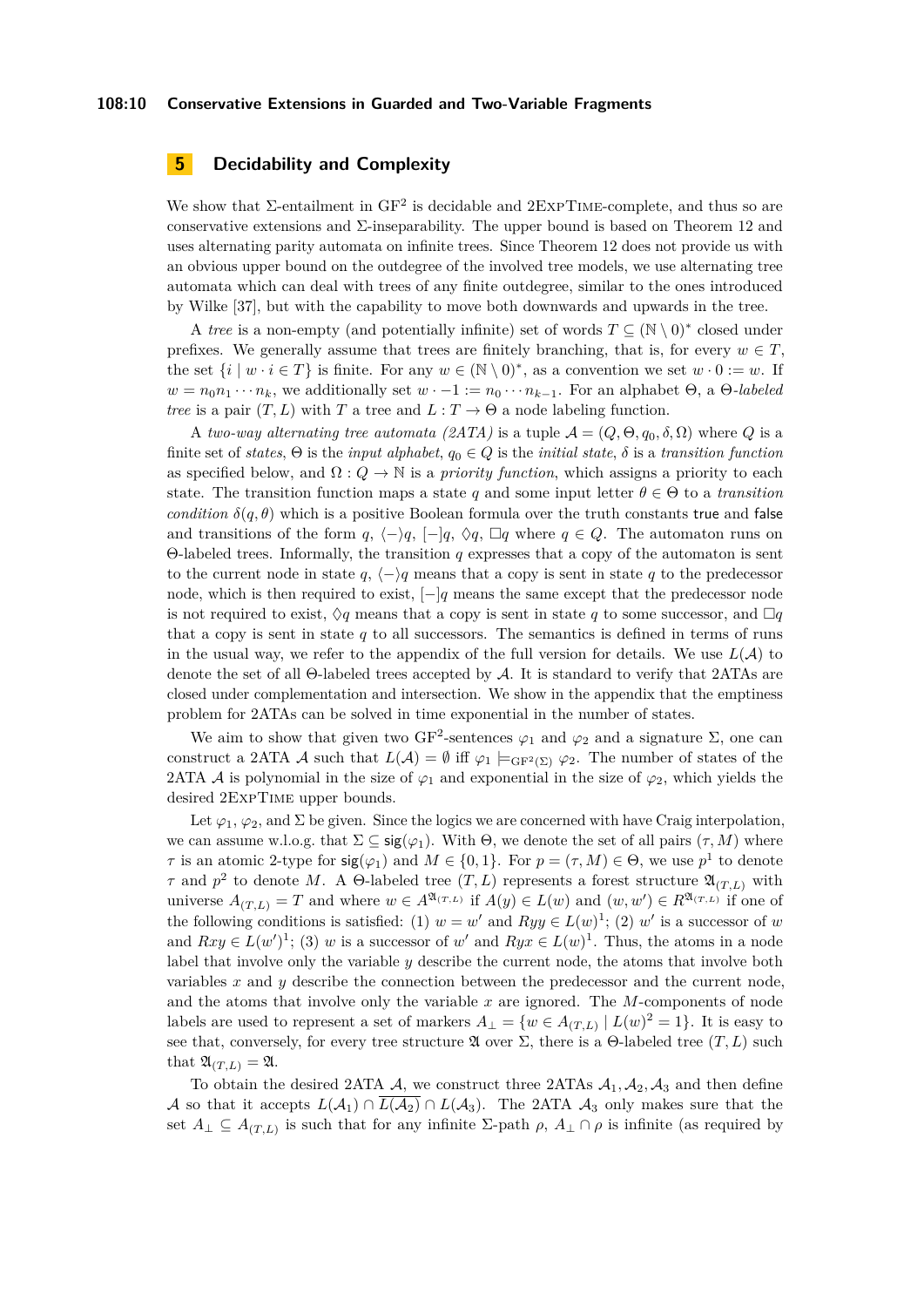# **5 Decidability and Complexity**

We show that  $\Sigma$ -entailment in  $GF^2$  is decidable and  $2EXPTIME$ -complete, and thus so are conservative extensions and  $\Sigma$ -inseparability. The upper bound is based on Theorem [12](#page-8-0) and uses alternating parity automata on infinite trees. Since Theorem [12](#page-8-0) does not provide us with an obvious upper bound on the outdegree of the involved tree models, we use alternating tree automata which can deal with trees of any finite outdegree, similar to the ones introduced by Wilke [\[37\]](#page-13-20), but with the capability to move both downwards and upwards in the tree.

A *tree* is a non-empty (and potentially infinite) set of words  $T \subseteq (\mathbb{N} \setminus 0)^*$  closed under prefixes. We generally assume that trees are finitely branching, that is, for every  $w \in T$ , the set  $\{i \mid w \cdot i \in T\}$  is finite. For any  $w \in (\mathbb{N} \setminus 0)^*$ , as a convention we set  $w \cdot 0 := w$ . If  $w = n_0 n_1 \cdots n_k$ , we additionally set  $w \cdot -1 := n_0 \cdots n_{k-1}$ . For an alphabet  $\Theta$ , a  $\Theta$ -labeled *tree* is a pair  $(T, L)$  with *T* a tree and  $L : T \to \Theta$  a node labeling function.

A *two-way alternating tree automata (2ATA)* is a tuple  $A = (Q, \Theta, q_0, \delta, \Omega)$  where Q is a finite set of *states*,  $\Theta$  is the *input alphabet*,  $q_0 \in Q$  is the *initial state*,  $\delta$  is a *transition function* as specified below, and  $\Omega: Q \to \mathbb{N}$  is a *priority function*, which assigns a priority to each state. The transition function maps a state q and some input letter  $\theta \in \Theta$  to a *transition condition*  $\delta(q, \theta)$  which is a positive Boolean formula over the truth constants true and false and transitions of the form *q*,  $\langle -\rangle q$ ,  $\langle -\rangle q$ ,  $\langle -\rangle q$ ,  $\Box q$  where *q* ∈ *Q*. The automaton runs on Θ-labeled trees. Informally, the transition *q* expresses that a copy of the automaton is sent to the current node in state  $q, \langle -\rangle q$  means that a copy is sent in state q to the predecessor node, which is then required to exist, [−]*q* means the same except that the predecessor node is not required to exist,  $\Diamond q$  means that a copy is sent in state q to some successor, and  $\Box q$ that a copy is sent in state  $q$  to all successors. The semantics is defined in terms of runs in the usual way, we refer to the appendix of the full version for details. We use  $L(\mathcal{A})$  to denote the set of all Θ-labeled trees accepted by A. It is standard to verify that 2ATAs are closed under complementation and intersection. We show in the appendix that the emptiness problem for 2ATAs can be solved in time exponential in the number of states.

We aim to show that given two GF<sup>2</sup>-sentences  $\varphi_1$  and  $\varphi_2$  and a signature  $\Sigma$ , one can construct a 2ATA A such that  $L(\mathcal{A}) = \emptyset$  iff  $\varphi_1 \models_{\text{GF}^2(\Sigma)} \varphi_2$ . The number of states of the 2ATA A is polynomial in the size of  $\varphi_1$  and exponential in the size of  $\varphi_2$ , which yields the desired 2ExpTime upper bounds.

Let  $\varphi_1, \varphi_2$ , and  $\Sigma$  be given. Since the logics we are concerned with have Craig interpolation, we can assume w.l.o.g. that  $\Sigma \subseteq \text{sig}(\varphi_1)$ . With  $\Theta$ , we denote the set of all pairs  $(\tau, M)$  where *τ* is an atomic 2-type for  $\text{sig}(\varphi_1)$  and  $M \in \{0,1\}$ . For  $p = (\tau, M) \in \Theta$ , we use  $p^1$  to denote *τ* and  $p^2$  to denote *M*. A  $\Theta$ -labeled tree  $(T, L)$  represents a forest structure  $\mathfrak{A}_{(T, L)}$  with universe  $A_{(T,L)} = T$  and where  $w \in A^{\mathfrak{A}_{(T,L)}}$  if  $A(y) \in L(w)$  and  $(w, w') \in R^{\mathfrak{A}_{(T,L)}}$  if one of the following conditions is satisfied: (1)  $w = w'$  and  $Ryy \in L(w)^{1}$ ; (2)  $w'$  is a successor of *w* and  $Rxy \in L(w')^1$ ; (3) *w* is a successor of *w*' and  $Ryx \in L(w)^1$ . Thus, the atoms in a node label that involve only the variable *y* describe the current node, the atoms that involve both variables *x* and *y* describe the connection between the predecessor and the current node, and the atoms that involve only the variable *x* are ignored. The *M*-components of node labels are used to represent a set of markers  $A_{\perp} = \{w \in A_{(T,L)} \mid L(w)^2 = 1\}$ . It is easy to see that, conversely, for every tree structure  $\mathfrak A$  over  $\Sigma$ , there is a Θ-labeled tree  $(T, L)$  such that  $\mathfrak{A}_{(T,L)} = \mathfrak{A}.$ 

To obtain the desired 2ATA  $A$ , we construct three 2ATAs  $A_1$ ,  $A_2$ ,  $A_3$  and then define A so that it accepts  $L(\mathcal{A}_1) \cap L(\mathcal{A}_2) \cap L(\mathcal{A}_3)$ . The 2ATA  $\mathcal{A}_3$  only makes sure that the set  $A_{\perp} \subseteq A_{(T,L)}$  is such that for any infinite  $\Sigma$ -path  $\rho$ ,  $A_{\perp} \cap \rho$  is infinite (as required by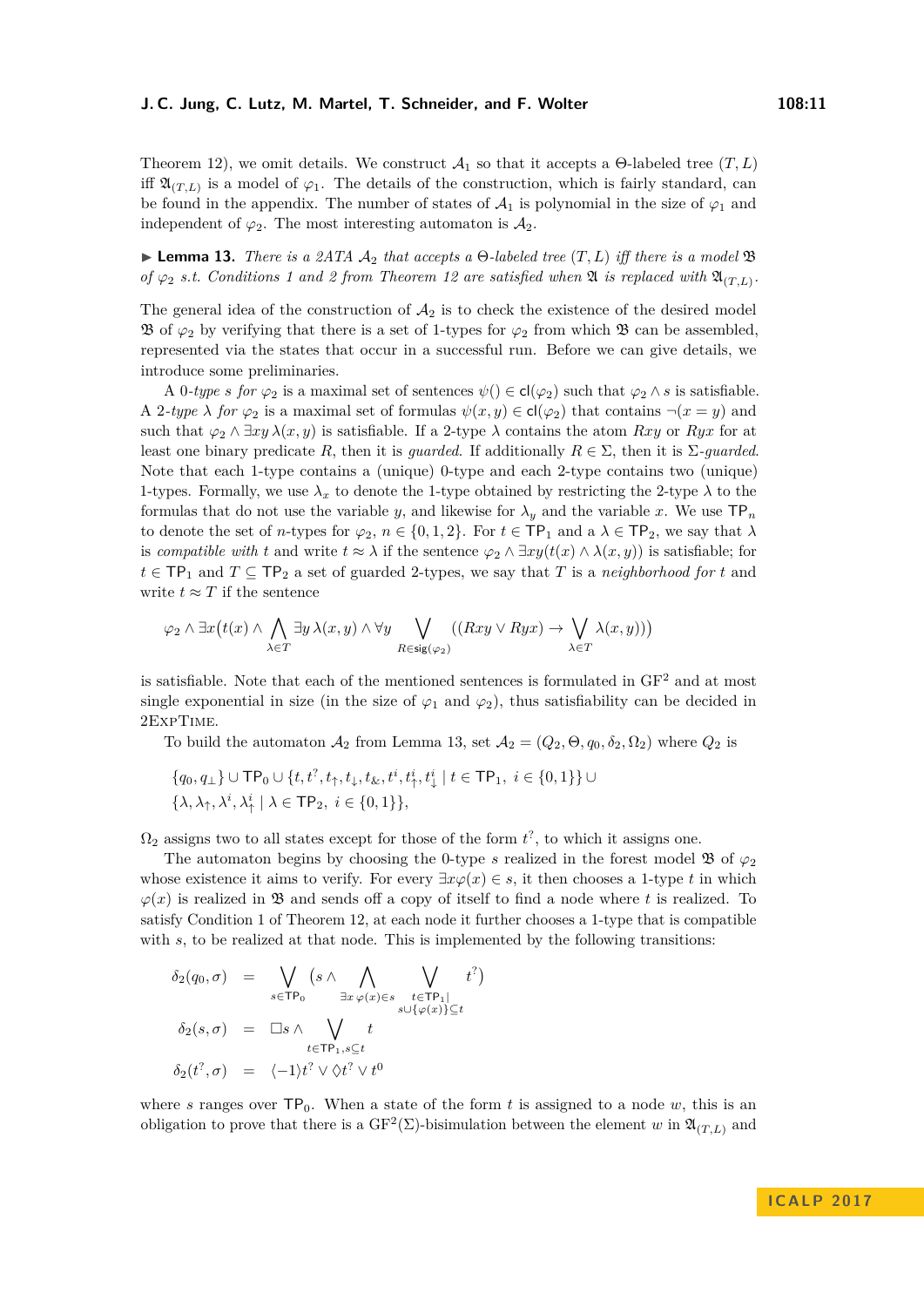Theorem [12\)](#page-8-0), we omit details. We construct  $\mathcal{A}_1$  so that it accepts a  $\Theta$ -labeled tree  $(T, L)$ iff  $\mathfrak{A}_{(T,L)}$  is a model of  $\varphi_1$ . The details of the construction, which is fairly standard, can be found in the appendix. The number of states of  $A_1$  is polynomial in the size of  $\varphi_1$  and independent of  $\varphi_2$ . The most interesting automaton is  $\mathcal{A}_2$ .

<span id="page-10-0"></span> $\blacktriangleright$  **Lemma 13.** *There is a 2ATA*  $\mathcal{A}_2$  *that accepts a*  $\Theta$ *-labeled tree*  $(T, L)$  *iff there is a model*  $\mathfrak{B}$ *of*  $\varphi_2$  *s.t. Conditions* 1 and 2 from Theorem [12](#page-8-0) are satisfied when  $\mathfrak{A}$  *is replaced with*  $\mathfrak{A}_{(T,L)}$ *.* 

The general idea of the construction of  $A_2$  is to check the existence of the desired model B of  $\varphi_2$  by verifying that there is a set of 1-types for  $\varphi_2$  from which B can be assembled, represented via the states that occur in a successful run. Before we can give details, we introduce some preliminaries.

A 0*-type s* for  $\varphi_2$  is a maximal set of sentences  $\psi() \in cl(\varphi_2)$  such that  $\varphi_2 \wedge s$  is satisfiable. A 2*-type*  $\lambda$  *for*  $\varphi_2$  is a maximal set of formulas  $\psi(x, y) \in cl(\varphi_2)$  that contains  $\neg(x = y)$  and such that  $\varphi_2 \wedge \exists xy \lambda(x, y)$  is satisfiable. If a 2-type  $\lambda$  contains the atom *Rxy* or *Ryx* for at least one binary predicate *R*, then it is *guarded*. If additionally  $R \in \Sigma$ , then it is  $\Sigma$ -*guarded*. Note that each 1-type contains a (unique) 0-type and each 2-type contains two (unique) 1-types. Formally, we use  $\lambda_x$  to denote the 1-type obtained by restricting the 2-type  $\lambda$  to the formulas that do not use the variable *y*, and likewise for  $\lambda_y$  and the variable *x*. We use  $TP_n$ to denote the set of *n*-types for  $\varphi_2$ ,  $n \in \{0, 1, 2\}$ . For  $t \in \mathsf{TP}_1$  and a  $\lambda \in \mathsf{TP}_2$ , we say that  $\lambda$ is *compatible with t* and write  $t \approx \lambda$  if the sentence  $\varphi_2 \wedge \exists xy(t(x) \wedge \lambda(x, y))$  is satisfiable; for  $t \in \mathsf{TP}_1$  and  $T \subseteq \mathsf{TP}_2$  a set of guarded 2-types, we say that  $T$  is a *neighborhood for*  $t$  and write  $t \approx T$  if the sentence

$$
\varphi_2 \wedge \exists x \big( t(x) \wedge \bigwedge_{\lambda \in T} \exists y \, \lambda(x, y) \wedge \forall y \bigvee_{R \in \text{sig}(\varphi_2)} ((Rxy \vee Ryx) \to \bigvee_{\lambda \in T} \lambda(x, y)) \big)
$$

is satisfiable. Note that each of the mentioned sentences is formulated in  $GF<sup>2</sup>$  and at most single exponential in size (in the size of  $\varphi_1$  and  $\varphi_2$ ), thus satisfiability can be decided in 2ExpTime.

To build the automaton  $\mathcal{A}_2$  from Lemma [13,](#page-10-0) set  $\mathcal{A}_2 = (Q_2, \Theta, q_0, \delta_2, \Omega_2)$  where  $Q_2$  is

$$
\{q_0, q_\perp\} \cup \mathsf{TP}_0 \cup \{t, t^?, t_\uparrow, t_\downarrow, t_\&, t^i, t^i_\uparrow, t^i_\downarrow \mid t \in \mathsf{TP}_1, i \in \{0, 1\}\} \cup \{\lambda, \lambda_\uparrow, \lambda^i, \lambda^i_\uparrow \mid \lambda \in \mathsf{TP}_2, i \in \{0, 1\}\},\
$$

 $\Omega_2$  assigns two to all states except for those of the form  $t^2$ , to which it assigns one.

The automaton begins by choosing the 0-type *s* realized in the forest model  $\mathfrak{B}$  of  $\varphi_2$ whose existence it aims to verify. For every  $\exists x \varphi(x) \in s$ , it then chooses a 1-type *t* in which  $\varphi(x)$  is realized in B and sends off a copy of itself to find a node where *t* is realized. To satisfy Condition 1 of Theorem [12,](#page-8-0) at each node it further chooses a 1-type that is compatible with *s*, to be realized at that node. This is implemented by the following transitions:

$$
\delta_2(q_0, \sigma) = \bigvee_{s \in \mathsf{TP}_0} \left( s \wedge \bigwedge_{\exists x \varphi(x) \in s} \bigvee_{t \in \mathsf{TP}_1 | t^2 \atop s \cup \{\varphi(x)\} \subseteq t} t^2 \right)
$$

$$
\delta_2(s, \sigma) = \Box s \wedge \bigvee_{t \in \mathsf{TP}_1, s \subseteq t} t
$$

$$
\delta_2(t^2, \sigma) = \langle -1 \rangle t^2 \vee \Diamond t^2 \vee t^0
$$

where *s* ranges over  $TP_0$ . When a state of the form *t* is assigned to a node *w*, this is an obligation to prove that there is a  $GF^2(\Sigma)$ -bisimulation between the element *w* in  $\mathfrak{A}_{(T,L)}$  and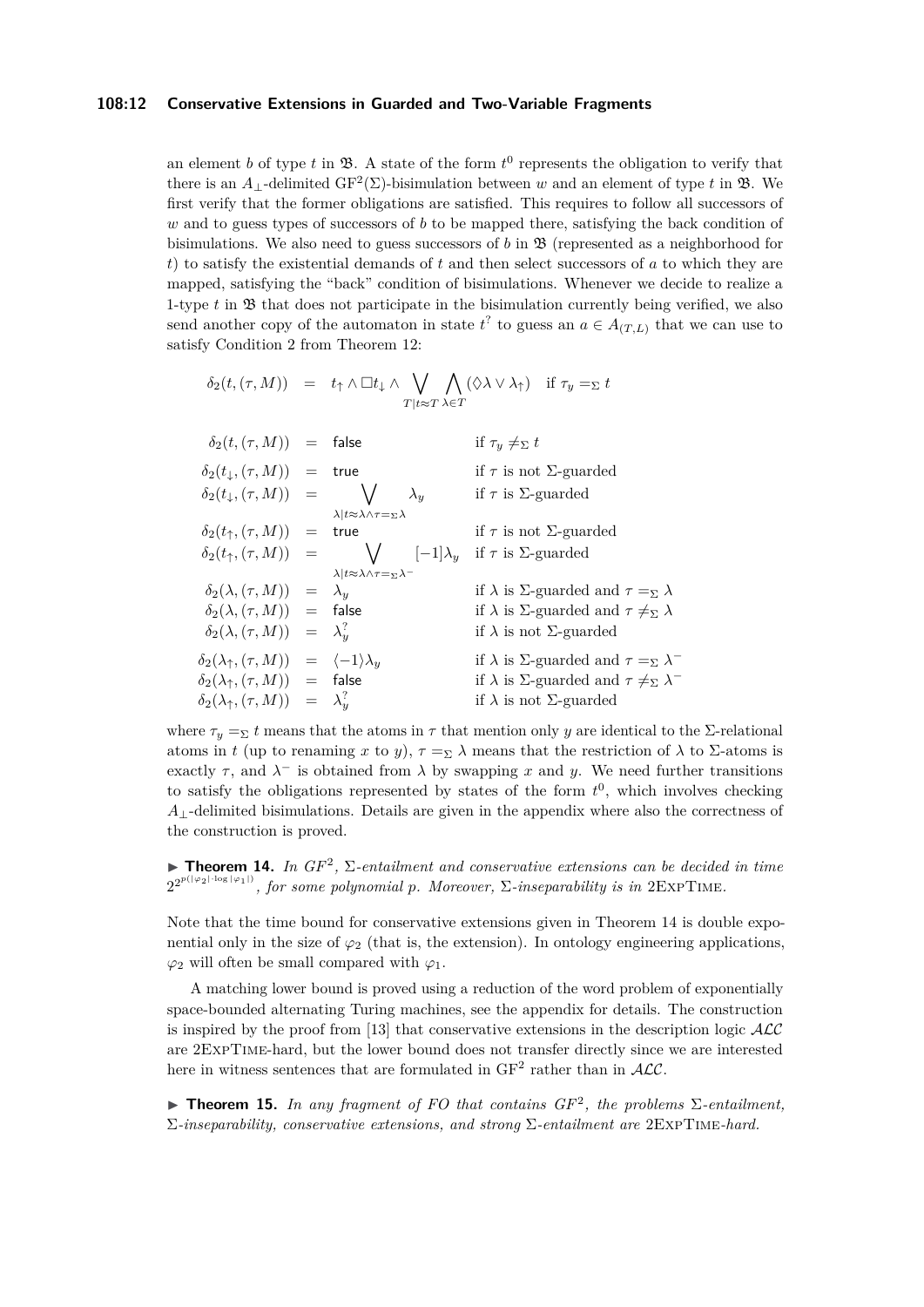## **108:12 Conservative Extensions in Guarded and Two-Variable Fragments**

an element *b* of type *t* in  $\mathfrak{B}$ . A state of the form  $t^0$  represents the obligation to verify that there is an  $A_{\perp}$ -delimited  $GF^2(\Sigma)$ -bisimulation between *w* and an element of type *t* in **B**. We first verify that the former obligations are satisfied. This requires to follow all successors of *w* and to guess types of successors of *b* to be mapped there, satisfying the back condition of bisimulations. We also need to guess successors of *b* in B (represented as a neighborhood for *t*) to satisfy the existential demands of *t* and then select successors of *a* to which they are mapped, satisfying the "back" condition of bisimulations. Whenever we decide to realize a 1-type *t* in B that does not participate in the bisimulation currently being verified, we also send another copy of the automaton in state  $t^2$  to guess an  $a \in A_{(T,L)}$  that we can use to satisfy Condition 2 from Theorem [12:](#page-8-0)

$$
\begin{array}{rcll} \delta_2(t,(\tau,M))&=&t_{\uparrow}\wedge \Box t_{\downarrow}\wedge \bigvee_{T\mid t\approx T}\bigwedge_{\lambda\in T}(\Diamond\lambda\vee\lambda_{\uparrow})&\text{if }\tau_y=_\Sigma t\\ \\ \delta_2(t,(\tau,M))&=&\text{false} &\text{if }\tau_y\neq_\Sigma t\\ \\ \delta_2(t_{\downarrow},(\tau,M))&=&\text{true} &\text{if }\tau\text{ is not }\Sigma\text{-quarded}\\ \\ \delta_2(t_{\downarrow},(\tau,M))&=&\bigvee\quad \lambda_y &\text{if }\tau\text{ is }\Sigma\text{-guarded} \end{array}
$$

|                                                                        | $\lambda   t \approx \lambda \wedge \tau = \Sigma \lambda$                                   |                                                                         |
|------------------------------------------------------------------------|----------------------------------------------------------------------------------------------|-------------------------------------------------------------------------|
| $\delta_2(t_\uparrow, (\tau, M))$ = true                               |                                                                                              | if $\tau$ is not $\Sigma$ -guarded                                      |
|                                                                        | $\delta_2(t_\uparrow, (\tau, M))$ = $\bigvee$ $[-1]\lambda_y$ if $\tau$ is $\Sigma$ -guarded |                                                                         |
|                                                                        | $\lambda   t \approx \lambda \wedge \tau = \Sigma \lambda^{-1}$                              |                                                                         |
| $\delta_2(\lambda, (\tau, M)) = \lambda_y$                             |                                                                                              | if $\lambda$ is $\Sigma$ -guarded and $\tau =_{\Sigma} \lambda$         |
| $\delta_2(\lambda, (\tau, M))$ = false                                 |                                                                                              | if $\lambda$ is $\Sigma$ -guarded and $\tau \neq_{\Sigma} \lambda$      |
| $\delta_2(\lambda, (\tau, M)) = \lambda_u^?$                           |                                                                                              | if $\lambda$ is not $\Sigma$ -guarded                                   |
| $\delta_2(\lambda_\uparrow, (\tau, M)) = \langle -1 \rangle \lambda_u$ |                                                                                              | if $\lambda$ is $\Sigma$ -guarded and $\tau =_{\Sigma} \lambda^{-1}$    |
| $\delta_2(\lambda_\uparrow, (\tau, M)) =$ false                        |                                                                                              | if $\lambda$ is $\Sigma$ -guarded and $\tau \neq_{\Sigma} \lambda^{-1}$ |
| $\delta_2(\lambda_\uparrow, (\tau, M)) = \lambda_u^?$                  |                                                                                              | if $\lambda$ is not $\Sigma$ -guarded                                   |
|                                                                        |                                                                                              |                                                                         |

where  $\tau_y = \Sigma t$  means that the atoms in  $\tau$  that mention only *y* are identical to the Σ-relational atoms in *t* (up to renaming *x* to *y*),  $\tau = \Sigma \lambda$  means that the restriction of  $\lambda$  to  $\Sigma$ -atoms is exactly  $\tau$ , and  $\lambda^-$  is obtained from  $\lambda$  by swapping x and y. We need further transitions to satisfy the obligations represented by states of the form  $t^0$ , which involves checking *A*⊥-delimited bisimulations. Details are given in the appendix where also the correctness of the construction is proved.

<span id="page-11-0"></span>**Theorem 14.** In  $GF^2$ ,  $\Sigma$ -entailment and conservative extensions can be decided in time  $2^{2^{p(|\varphi_2|\cdot\log|\varphi_1|)}}$ , for some polynomial p. Moreover,  $\Sigma$ -inseparability is in  $2\text{ExpTIME}$ .

Note that the time bound for conservative extensions given in Theorem [14](#page-11-0) is double exponential only in the size of  $\varphi_2$  (that is, the extension). In ontology engineering applications,  $\varphi_2$  will often be small compared with  $\varphi_1$ .

A matching lower bound is proved using a reduction of the word problem of exponentially space-bounded alternating Turing machines, see the appendix for details. The construction is inspired by the proof from [\[13\]](#page-12-1) that conservative extensions in the description logic  $\mathcal{ALC}$ are 2ExpTime-hard, but the lower bound does not transfer directly since we are interested here in witness sentences that are formulated in  $GF<sup>2</sup>$  rather than in  $ALC$ .

**Theorem 15.** In any fragment of FO that contains  $GF^2$ , the problems  $\Sigma$ -entailment, Σ*-inseparability, conservative extensions, and strong* Σ*-entailment are* 2ExpTime*-hard.*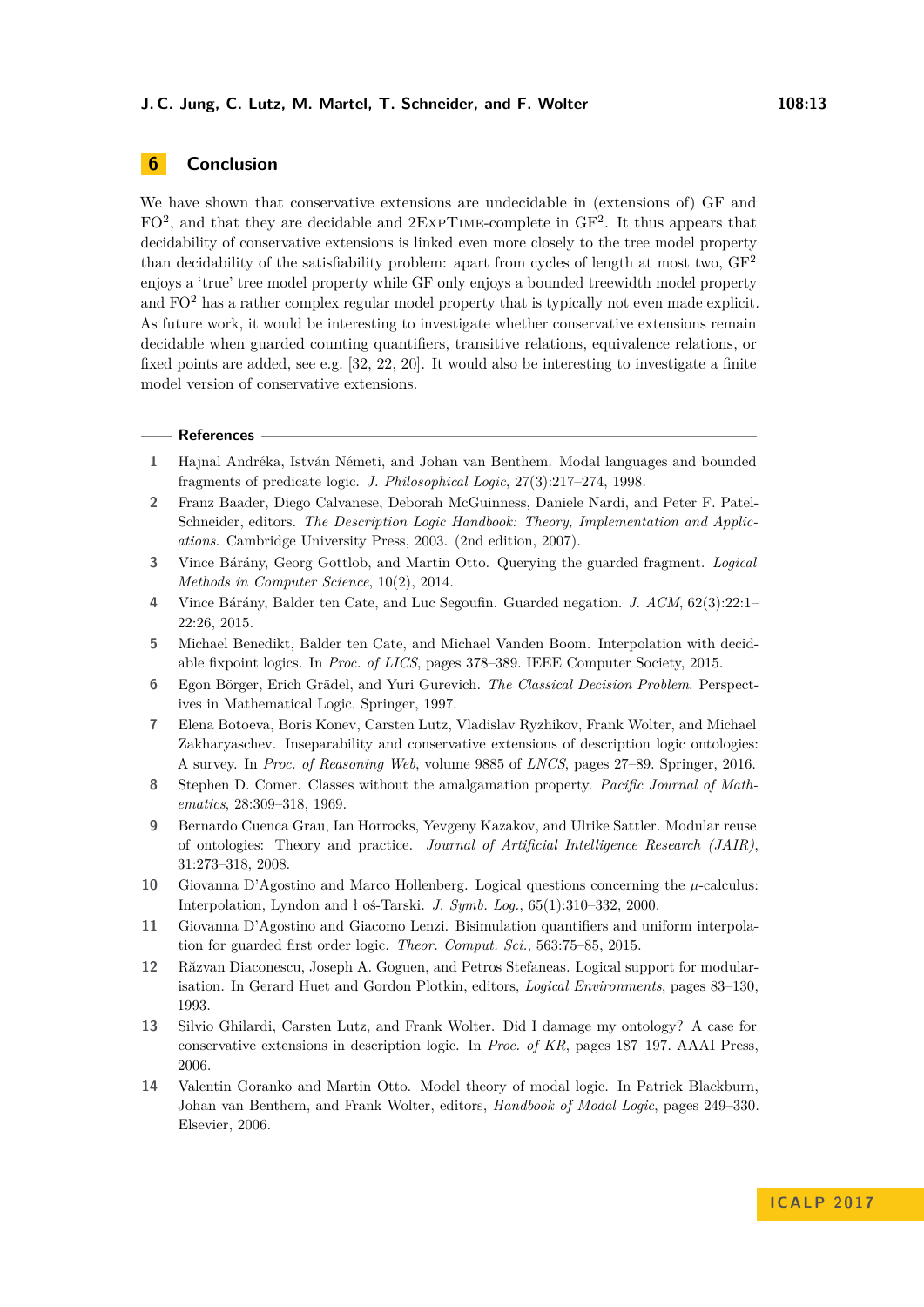# **6 Conclusion**

We have shown that conservative extensions are undecidable in (extensions of) GF and FO<sup>2</sup>, and that they are decidable and 2EXPTIME-complete in GF<sup>2</sup>. It thus appears that decidability of conservative extensions is linked even more closely to the tree model property than decidability of the satisfiability problem: apart from cycles of length at most two,  $GF<sup>2</sup>$ enjoys a 'true' tree model property while GF only enjoys a bounded treewidth model property and  $FO<sup>2</sup>$  has a rather complex regular model property that is typically not even made explicit. As future work, it would be interesting to investigate whether conservative extensions remain decidable when guarded counting quantifiers, transitive relations, equivalence relations, or fixed points are added, see e.g. [\[32,](#page-13-21) [22,](#page-13-22) [20\]](#page-13-23). It would also be interesting to investigate a finite model version of conservative extensions.

## **References**

- <span id="page-12-4"></span>**1** Hajnal Andréka, István Németi, and Johan van Benthem. Modal languages and bounded fragments of predicate logic. *J. Philosophical Logic*, 27(3):217–274, 1998.
- <span id="page-12-9"></span>**2** Franz Baader, Diego Calvanese, Deborah McGuinness, Daniele Nardi, and Peter F. Patel-Schneider, editors. *The Description Logic Handbook: Theory, Implementation and Applications*. Cambridge University Press, 2003. (2nd edition, 2007).
- <span id="page-12-7"></span>**3** Vince Bárány, Georg Gottlob, and Martin Otto. Querying the guarded fragment. *Logical Methods in Computer Science*, 10(2), 2014.
- <span id="page-12-5"></span>**4** Vince Bárány, Balder ten Cate, and Luc Segoufin. Guarded negation. *J. ACM*, 62(3):22:1– 22:26, 2015.
- <span id="page-12-8"></span>**5** Michael Benedikt, Balder ten Cate, and Michael Vanden Boom. Interpolation with decidable fixpoint logics. In *Proc. of LICS*, pages 378–389. IEEE Computer Society, 2015.
- <span id="page-12-6"></span>**6** Egon Börger, Erich Grädel, and Yuri Gurevich. *The Classical Decision Problem*. Perspectives in Mathematical Logic. Springer, 1997.
- <span id="page-12-2"></span>**7** Elena Botoeva, Boris Konev, Carsten Lutz, Vladislav Ryzhikov, Frank Wolter, and Michael Zakharyaschev. Inseparability and conservative extensions of description logic ontologies: A survey. In *Proc. of Reasoning Web*, volume 9885 of *LNCS*, pages 27–89. Springer, 2016.
- <span id="page-12-12"></span>**8** Stephen D. Comer. Classes without the amalgamation property. *Pacific Journal of Mathematics*, 28:309–318, 1969.
- <span id="page-12-3"></span>**9** Bernardo Cuenca Grau, Ian Horrocks, Yevgeny Kazakov, and Ulrike Sattler. Modular reuse of ontologies: Theory and practice. *Journal of Artificial Intelligence Research (JAIR)*, 31:273–318, 2008.
- <span id="page-12-11"></span>**10** Giovanna D'Agostino and Marco Hollenberg. Logical questions concerning the *µ*-calculus: Interpolation, Lyndon and ł oś-Tarski. *J. Symb. Log.*, 65(1):310–332, 2000.
- <span id="page-12-10"></span>**11** Giovanna D'Agostino and Giacomo Lenzi. Bisimulation quantifiers and uniform interpolation for guarded first order logic. *Theor. Comput. Sci.*, 563:75–85, 2015.
- <span id="page-12-0"></span>**12** Răzvan Diaconescu, Joseph A. Goguen, and Petros Stefaneas. Logical support for modularisation. In Gerard Huet and Gordon Plotkin, editors, *Logical Environments*, pages 83–130, 1993.
- <span id="page-12-1"></span>**13** Silvio Ghilardi, Carsten Lutz, and Frank Wolter. Did I damage my ontology? A case for conservative extensions in description logic. In *Proc. of KR*, pages 187–197. AAAI Press, 2006.
- <span id="page-12-13"></span>**14** Valentin Goranko and Martin Otto. Model theory of modal logic. In Patrick Blackburn, Johan van Benthem, and Frank Wolter, editors, *Handbook of Modal Logic*, pages 249–330. Elsevier, 2006.